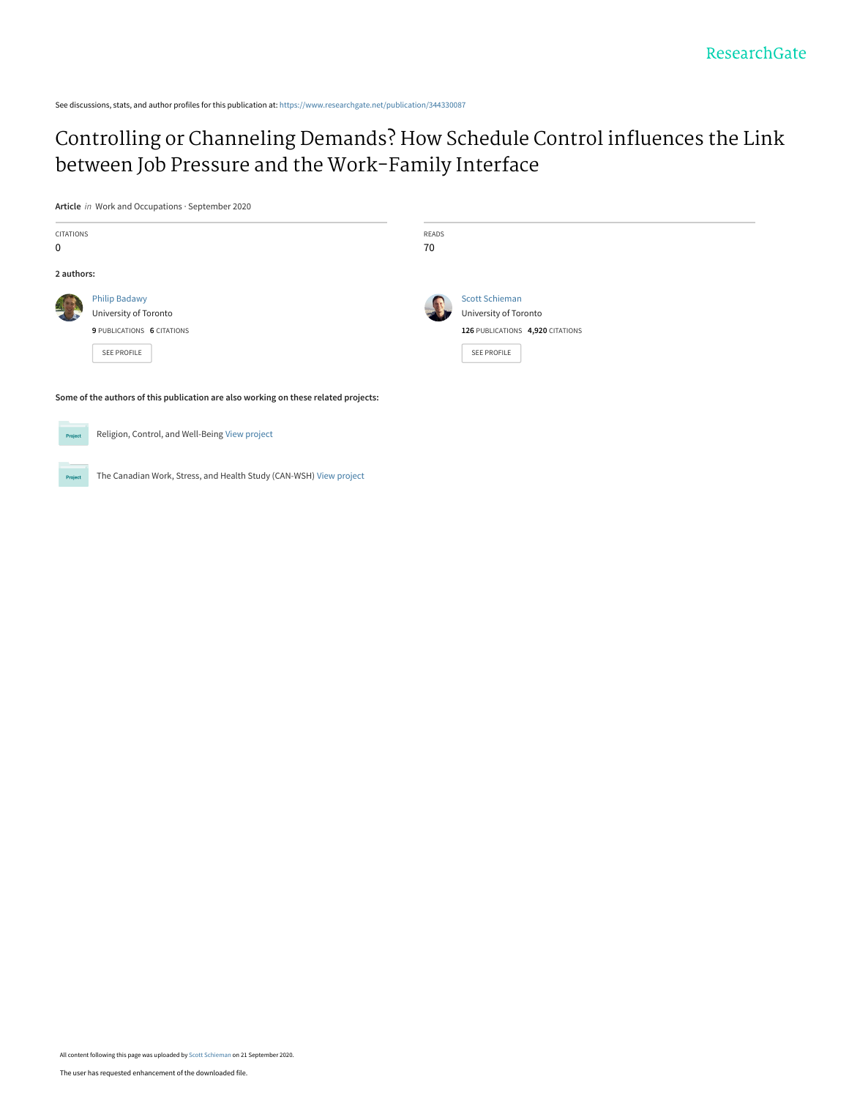See discussions, stats, and author profiles for this publication at: [https://www.researchgate.net/publication/344330087](https://www.researchgate.net/publication/344330087_Controlling_or_Channeling_Demands_How_Schedule_Control_influences_the_Link_between_Job_Pressure_and_the_Work-Family_Interface?enrichId=rgreq-996e2fd39004ffc290135458de46857c-XXX&enrichSource=Y292ZXJQYWdlOzM0NDMzMDA4NztBUzo5MzgyMTg0MzQzMzA2MjRAMTYwMDcwMDExNDA1NA%3D%3D&el=1_x_2&_esc=publicationCoverPdf)

[Controlling or Channeling Demands? How Schedule Control influences the Link](https://www.researchgate.net/publication/344330087_Controlling_or_Channeling_Demands_How_Schedule_Control_influences_the_Link_between_Job_Pressure_and_the_Work-Family_Interface?enrichId=rgreq-996e2fd39004ffc290135458de46857c-XXX&enrichSource=Y292ZXJQYWdlOzM0NDMzMDA4NztBUzo5MzgyMTg0MzQzMzA2MjRAMTYwMDcwMDExNDA1NA%3D%3D&el=1_x_3&_esc=publicationCoverPdf) between Job Pressure and the Work-Family Interface

**Article** in Work and Occupations · September 2020

| CITATIONS<br>0 |                                                                                            | READS<br>70 |                                                                                                          |
|----------------|--------------------------------------------------------------------------------------------|-------------|----------------------------------------------------------------------------------------------------------|
| 2 authors:     |                                                                                            |             |                                                                                                          |
|                | <b>Philip Badawy</b><br>University of Toronto<br>9 PUBLICATIONS 6 CITATIONS<br>SEE PROFILE |             | <b>Scott Schieman</b><br>University of Toronto<br>126 PUBLICATIONS 4,920 CITATIONS<br><b>SEE PROFILE</b> |
|                | Some of the authors of this publication are also working on these related projects:        |             |                                                                                                          |
| Project        | Religion, Control, and Well-Being View project                                             |             |                                                                                                          |



The Canadian Work, Stress, and Health Study (CAN-WSH) [View project](https://www.researchgate.net/project/The-Canadian-Work-Stress-and-Health-Study-CAN-WSH?enrichId=rgreq-996e2fd39004ffc290135458de46857c-XXX&enrichSource=Y292ZXJQYWdlOzM0NDMzMDA4NztBUzo5MzgyMTg0MzQzMzA2MjRAMTYwMDcwMDExNDA1NA%3D%3D&el=1_x_9&_esc=publicationCoverPdf)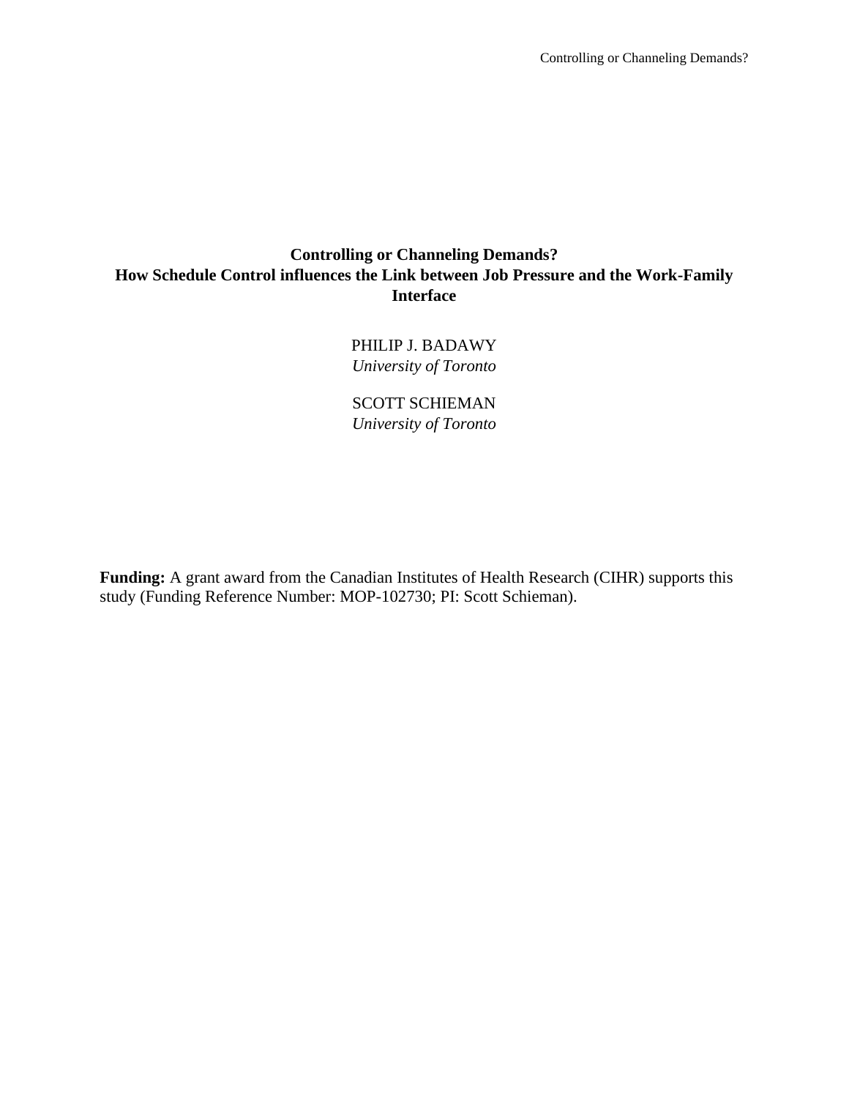## **Controlling or Channeling Demands? How Schedule Control influences the Link between Job Pressure and the Work-Family Interface**

PHILIP J. BADAWY *University of Toronto* 

SCOTT SCHIEMAN *University of Toronto* 

**Funding:** A grant award from the Canadian Institutes of Health Research (CIHR) supports this study (Funding Reference Number: MOP-102730; PI: Scott Schieman).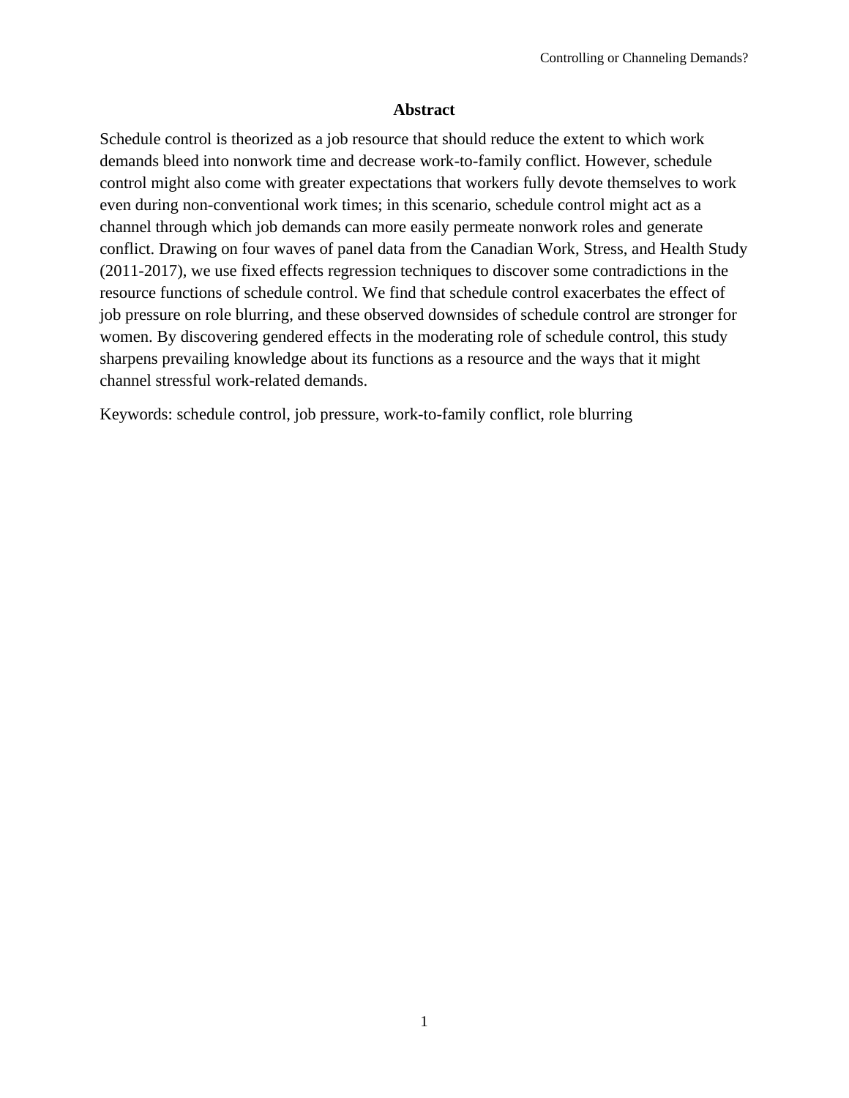## **Abstract**

Schedule control is theorized as a job resource that should reduce the extent to which work demands bleed into nonwork time and decrease work-to-family conflict. However, schedule control might also come with greater expectations that workers fully devote themselves to work even during non-conventional work times; in this scenario, schedule control might act as a channel through which job demands can more easily permeate nonwork roles and generate conflict. Drawing on four waves of panel data from the Canadian Work, Stress, and Health Study (2011-2017), we use fixed effects regression techniques to discover some contradictions in the resource functions of schedule control. We find that schedule control exacerbates the effect of job pressure on role blurring, and these observed downsides of schedule control are stronger for women. By discovering gendered effects in the moderating role of schedule control, this study sharpens prevailing knowledge about its functions as a resource and the ways that it might channel stressful work-related demands.

Keywords: schedule control, job pressure, work-to-family conflict, role blurring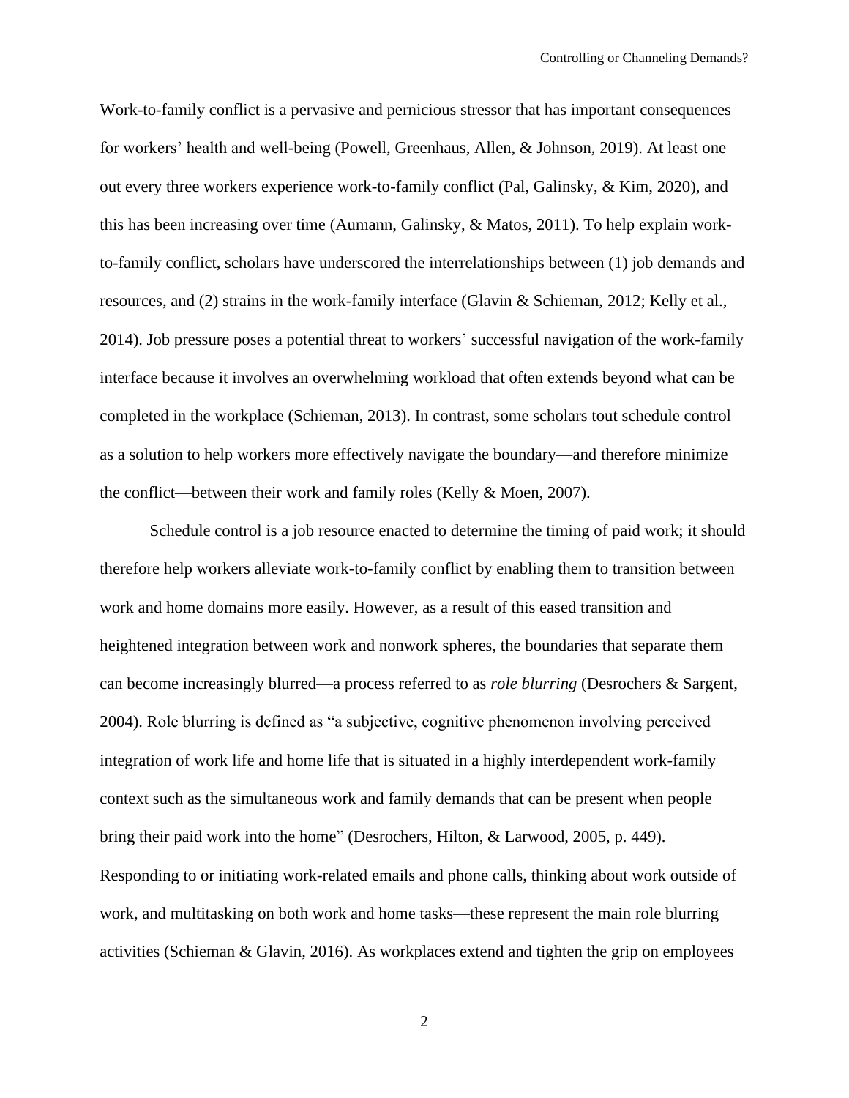Work-to-family conflict is a pervasive and pernicious stressor that has important consequences for workers' health and well-being (Powell, Greenhaus, Allen, & Johnson, 2019). At least one out every three workers experience work-to-family conflict (Pal, Galinsky, & Kim, 2020), and this has been increasing over time (Aumann, Galinsky, & Matos, 2011). To help explain workto-family conflict, scholars have underscored the interrelationships between (1) job demands and resources, and (2) strains in the work-family interface (Glavin & Schieman, 2012; Kelly et al., 2014). Job pressure poses a potential threat to workers' successful navigation of the work-family interface because it involves an overwhelming workload that often extends beyond what can be completed in the workplace (Schieman, 2013). In contrast, some scholars tout schedule control as a solution to help workers more effectively navigate the boundary—and therefore minimize the conflict—between their work and family roles (Kelly & Moen, 2007).

Schedule control is a job resource enacted to determine the timing of paid work; it should therefore help workers alleviate work-to-family conflict by enabling them to transition between work and home domains more easily. However, as a result of this eased transition and heightened integration between work and nonwork spheres, the boundaries that separate them can become increasingly blurred—a process referred to as *role blurring* (Desrochers & Sargent, 2004). Role blurring is defined as "a subjective, cognitive phenomenon involving perceived integration of work life and home life that is situated in a highly interdependent work-family context such as the simultaneous work and family demands that can be present when people bring their paid work into the home" (Desrochers, Hilton, & Larwood, 2005, p. 449). Responding to or initiating work-related emails and phone calls, thinking about work outside of work, and multitasking on both work and home tasks—these represent the main role blurring activities (Schieman & Glavin, 2016). As workplaces extend and tighten the grip on employees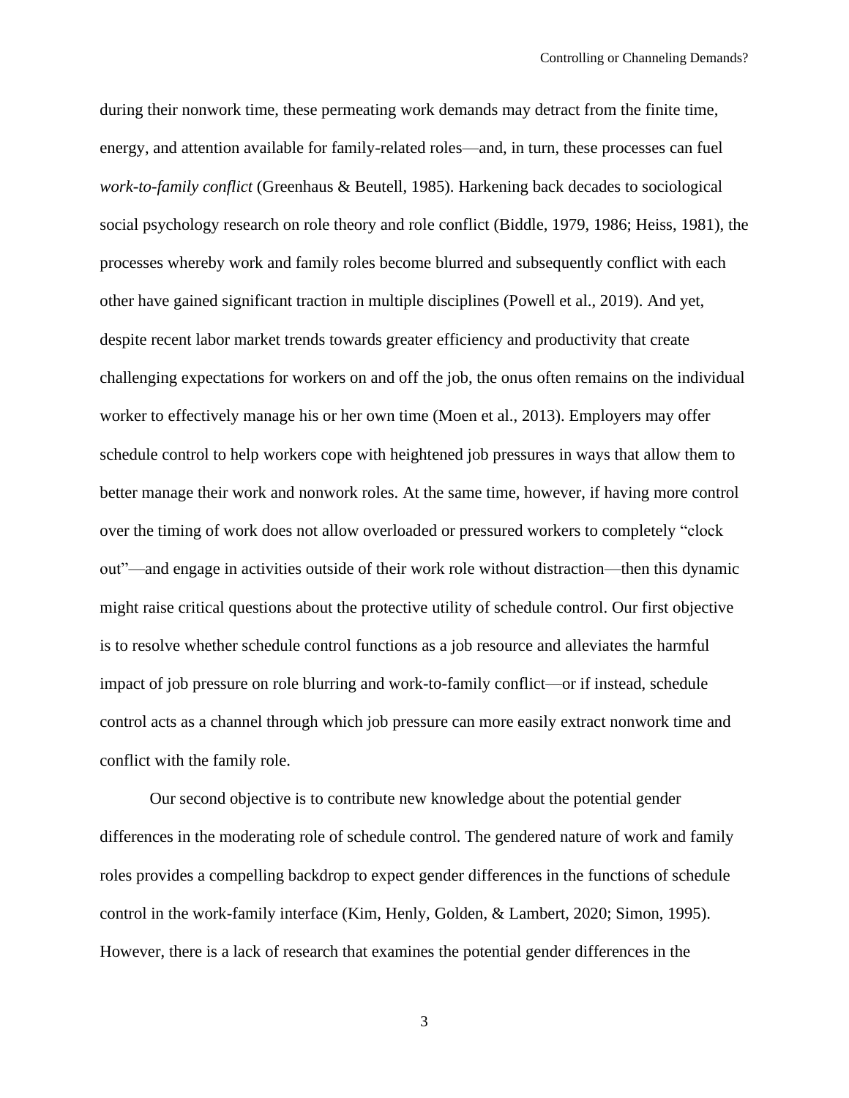during their nonwork time, these permeating work demands may detract from the finite time, energy, and attention available for family-related roles—and, in turn, these processes can fuel *work-to-family conflict* (Greenhaus & Beutell, 1985). Harkening back decades to sociological social psychology research on role theory and role conflict (Biddle, 1979, 1986; Heiss, 1981), the processes whereby work and family roles become blurred and subsequently conflict with each other have gained significant traction in multiple disciplines (Powell et al., 2019). And yet, despite recent labor market trends towards greater efficiency and productivity that create challenging expectations for workers on and off the job, the onus often remains on the individual worker to effectively manage his or her own time (Moen et al., 2013). Employers may offer schedule control to help workers cope with heightened job pressures in ways that allow them to better manage their work and nonwork roles. At the same time, however, if having more control over the timing of work does not allow overloaded or pressured workers to completely "clock out"—and engage in activities outside of their work role without distraction—then this dynamic might raise critical questions about the protective utility of schedule control. Our first objective is to resolve whether schedule control functions as a job resource and alleviates the harmful impact of job pressure on role blurring and work-to-family conflict—or if instead, schedule control acts as a channel through which job pressure can more easily extract nonwork time and conflict with the family role.

Our second objective is to contribute new knowledge about the potential gender differences in the moderating role of schedule control. The gendered nature of work and family roles provides a compelling backdrop to expect gender differences in the functions of schedule control in the work-family interface (Kim, Henly, Golden, & Lambert, 2020; Simon, 1995). However, there is a lack of research that examines the potential gender differences in the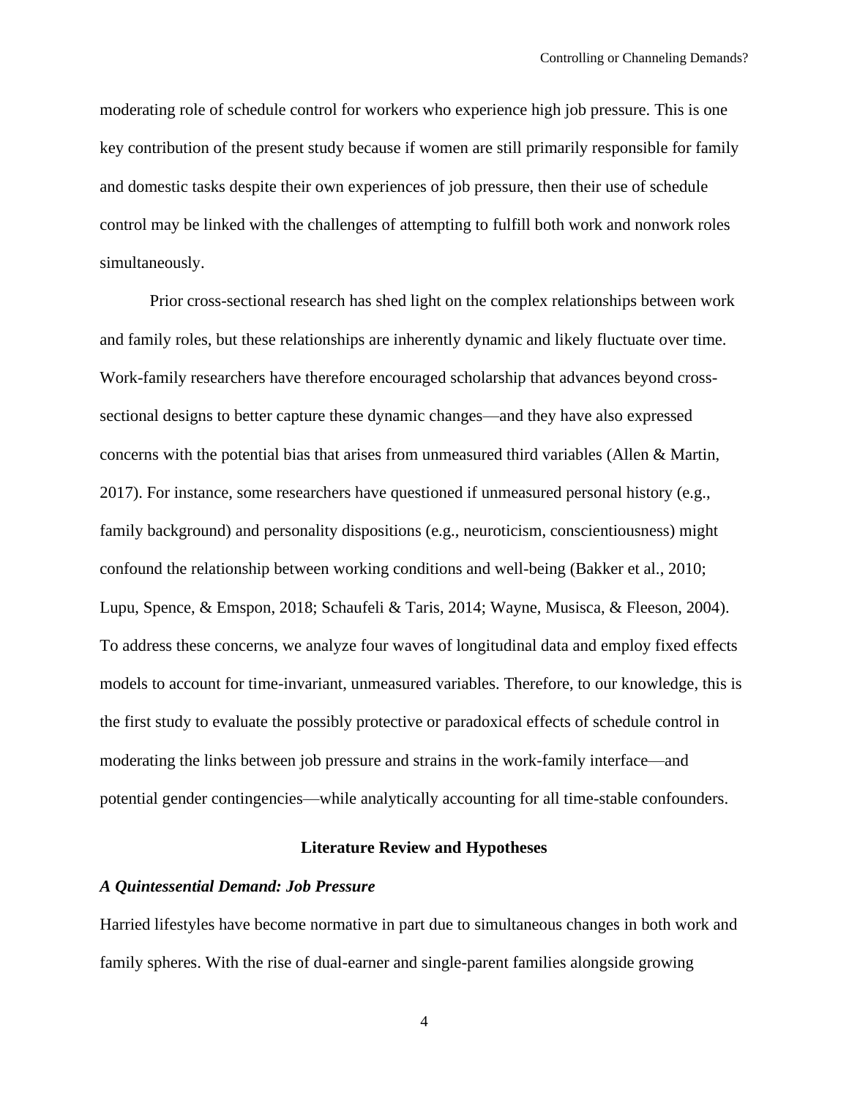moderating role of schedule control for workers who experience high job pressure. This is one key contribution of the present study because if women are still primarily responsible for family and domestic tasks despite their own experiences of job pressure, then their use of schedule control may be linked with the challenges of attempting to fulfill both work and nonwork roles simultaneously.

Prior cross-sectional research has shed light on the complex relationships between work and family roles, but these relationships are inherently dynamic and likely fluctuate over time. Work-family researchers have therefore encouraged scholarship that advances beyond crosssectional designs to better capture these dynamic changes—and they have also expressed concerns with the potential bias that arises from unmeasured third variables (Allen & Martin, 2017). For instance, some researchers have questioned if unmeasured personal history (e.g., family background) and personality dispositions (e.g., neuroticism, conscientiousness) might confound the relationship between working conditions and well-being (Bakker et al., 2010; Lupu, Spence, & Emspon, 2018; Schaufeli & Taris, 2014; Wayne, Musisca, & Fleeson, 2004). To address these concerns, we analyze four waves of longitudinal data and employ fixed effects models to account for time-invariant, unmeasured variables. Therefore, to our knowledge, this is the first study to evaluate the possibly protective or paradoxical effects of schedule control in moderating the links between job pressure and strains in the work-family interface—and potential gender contingencies—while analytically accounting for all time-stable confounders.

## **Literature Review and Hypotheses**

#### *A Quintessential Demand: Job Pressure*

Harried lifestyles have become normative in part due to simultaneous changes in both work and family spheres. With the rise of dual-earner and single-parent families alongside growing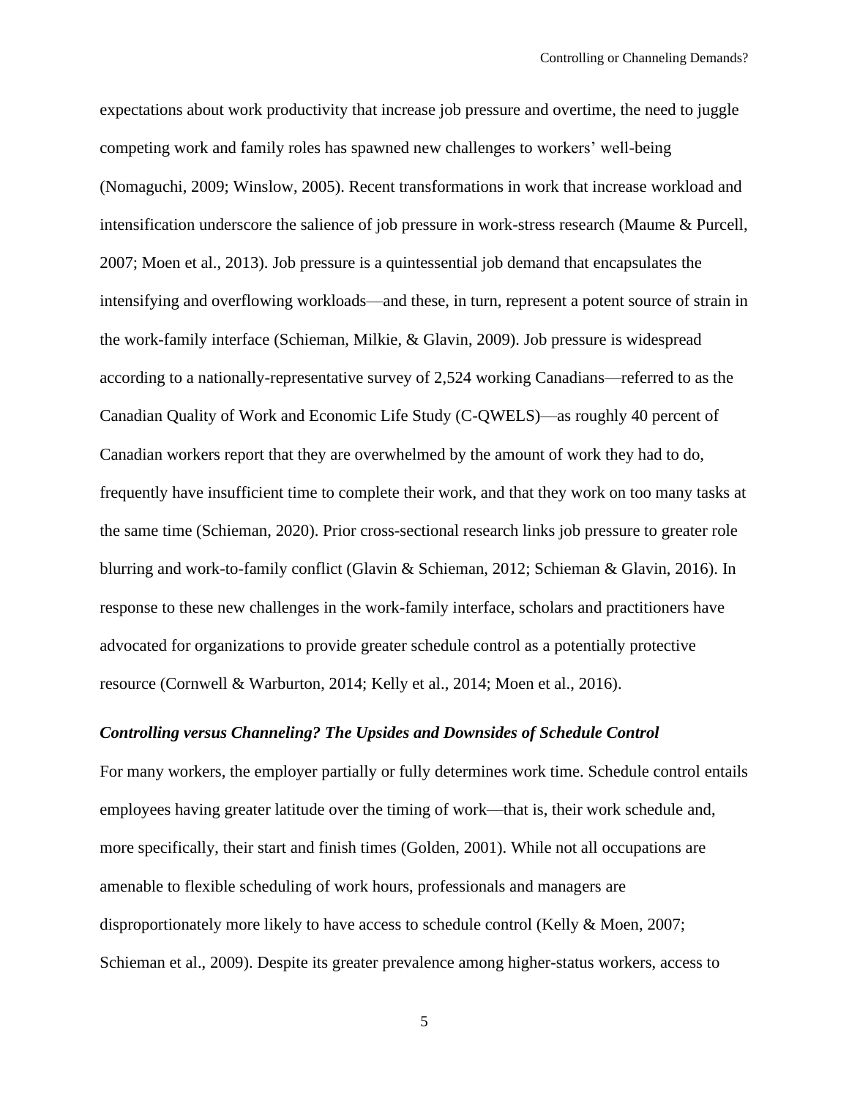expectations about work productivity that increase job pressure and overtime, the need to juggle competing work and family roles has spawned new challenges to workers' well-being (Nomaguchi, 2009; Winslow, 2005). Recent transformations in work that increase workload and intensification underscore the salience of job pressure in work-stress research (Maume & Purcell, 2007; Moen et al., 2013). Job pressure is a quintessential job demand that encapsulates the intensifying and overflowing workloads—and these, in turn, represent a potent source of strain in the work-family interface (Schieman, Milkie, & Glavin, 2009). Job pressure is widespread according to a nationally-representative survey of 2,524 working Canadians—referred to as the Canadian Quality of Work and Economic Life Study (C-QWELS)—as roughly 40 percent of Canadian workers report that they are overwhelmed by the amount of work they had to do, frequently have insufficient time to complete their work, and that they work on too many tasks at the same time (Schieman, 2020). Prior cross-sectional research links job pressure to greater role blurring and work-to-family conflict (Glavin & Schieman, 2012; Schieman & Glavin, 2016). In response to these new challenges in the work-family interface, scholars and practitioners have advocated for organizations to provide greater schedule control as a potentially protective resource (Cornwell & Warburton, 2014; Kelly et al., 2014; Moen et al., 2016).

## *Controlling versus Channeling? The Upsides and Downsides of Schedule Control*

For many workers, the employer partially or fully determines work time. Schedule control entails employees having greater latitude over the timing of work—that is, their work schedule and, more specifically, their start and finish times (Golden, 2001). While not all occupations are amenable to flexible scheduling of work hours, professionals and managers are disproportionately more likely to have access to schedule control (Kelly & Moen, 2007; Schieman et al., 2009). Despite its greater prevalence among higher-status workers, access to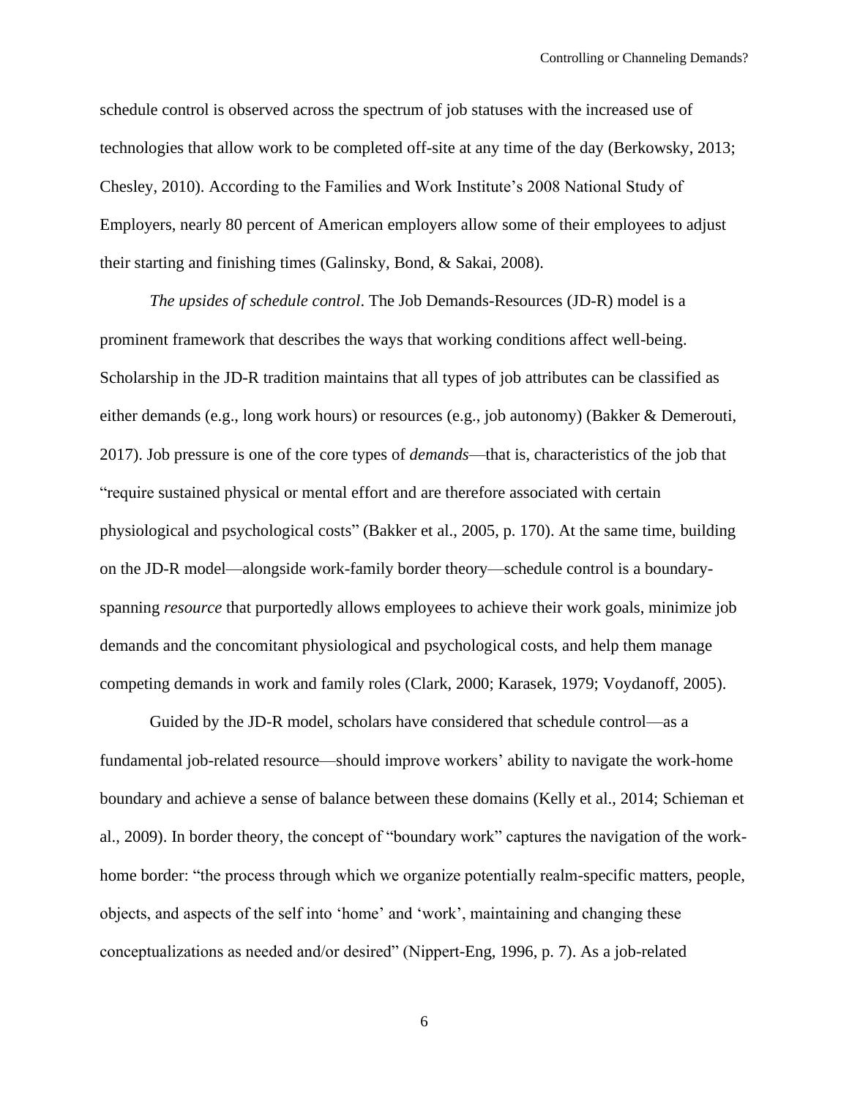schedule control is observed across the spectrum of job statuses with the increased use of technologies that allow work to be completed off-site at any time of the day (Berkowsky, 2013; Chesley, 2010). According to the Families and Work Institute's 2008 National Study of Employers, nearly 80 percent of American employers allow some of their employees to adjust their starting and finishing times (Galinsky, Bond, & Sakai, 2008).

*The upsides of schedule control*. The Job Demands-Resources (JD-R) model is a prominent framework that describes the ways that working conditions affect well-being. Scholarship in the JD-R tradition maintains that all types of job attributes can be classified as either demands (e.g., long work hours) or resources (e.g., job autonomy) (Bakker & Demerouti, 2017). Job pressure is one of the core types of *demands*—that is, characteristics of the job that "require sustained physical or mental effort and are therefore associated with certain physiological and psychological costs" (Bakker et al., 2005, p. 170). At the same time, building on the JD-R model—alongside work-family border theory—schedule control is a boundaryspanning *resource* that purportedly allows employees to achieve their work goals, minimize job demands and the concomitant physiological and psychological costs, and help them manage competing demands in work and family roles (Clark, 2000; Karasek, 1979; Voydanoff, 2005).

Guided by the JD-R model, scholars have considered that schedule control—as a fundamental job-related resource—should improve workers' ability to navigate the work-home boundary and achieve a sense of balance between these domains (Kelly et al., 2014; Schieman et al., 2009). In border theory, the concept of "boundary work" captures the navigation of the workhome border: "the process through which we organize potentially realm-specific matters, people, objects, and aspects of the self into 'home' and 'work', maintaining and changing these conceptualizations as needed and/or desired" (Nippert-Eng, 1996, p. 7). As a job-related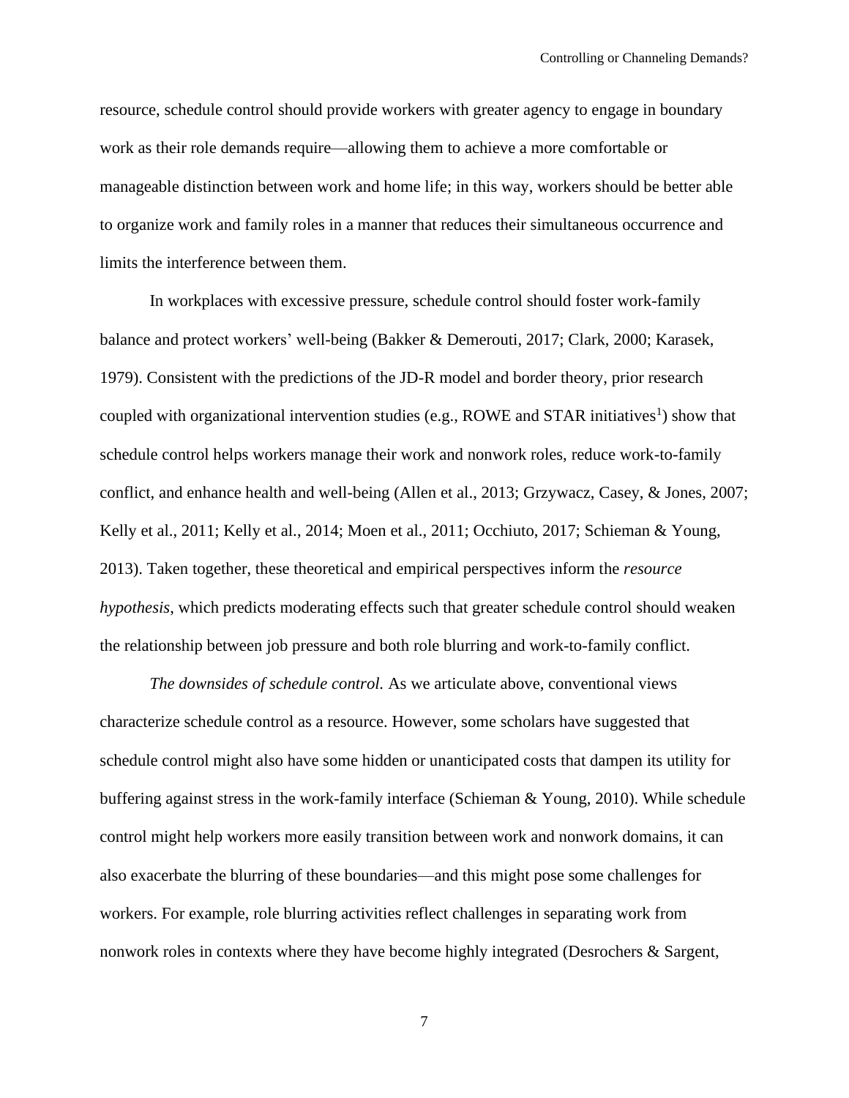resource, schedule control should provide workers with greater agency to engage in boundary work as their role demands require—allowing them to achieve a more comfortable or manageable distinction between work and home life; in this way, workers should be better able to organize work and family roles in a manner that reduces their simultaneous occurrence and limits the interference between them.

In workplaces with excessive pressure, schedule control should foster work-family balance and protect workers' well-being (Bakker & Demerouti, 2017; Clark, 2000; Karasek, 1979). Consistent with the predictions of the JD-R model and border theory, prior research coupled with organizational intervention studies (e.g., ROWE and STAR initiatives<sup>1</sup>) show that schedule control helps workers manage their work and nonwork roles, reduce work-to-family conflict, and enhance health and well-being (Allen et al., 2013; Grzywacz, Casey, & Jones, 2007; Kelly et al., 2011; Kelly et al., 2014; Moen et al., 2011; Occhiuto, 2017; Schieman & Young, 2013). Taken together, these theoretical and empirical perspectives inform the *resource hypothesis*, which predicts moderating effects such that greater schedule control should weaken the relationship between job pressure and both role blurring and work-to-family conflict.

*The downsides of schedule control.* As we articulate above, conventional views characterize schedule control as a resource. However, some scholars have suggested that schedule control might also have some hidden or unanticipated costs that dampen its utility for buffering against stress in the work-family interface (Schieman & Young, 2010). While schedule control might help workers more easily transition between work and nonwork domains, it can also exacerbate the blurring of these boundaries—and this might pose some challenges for workers. For example, role blurring activities reflect challenges in separating work from nonwork roles in contexts where they have become highly integrated (Desrochers & Sargent,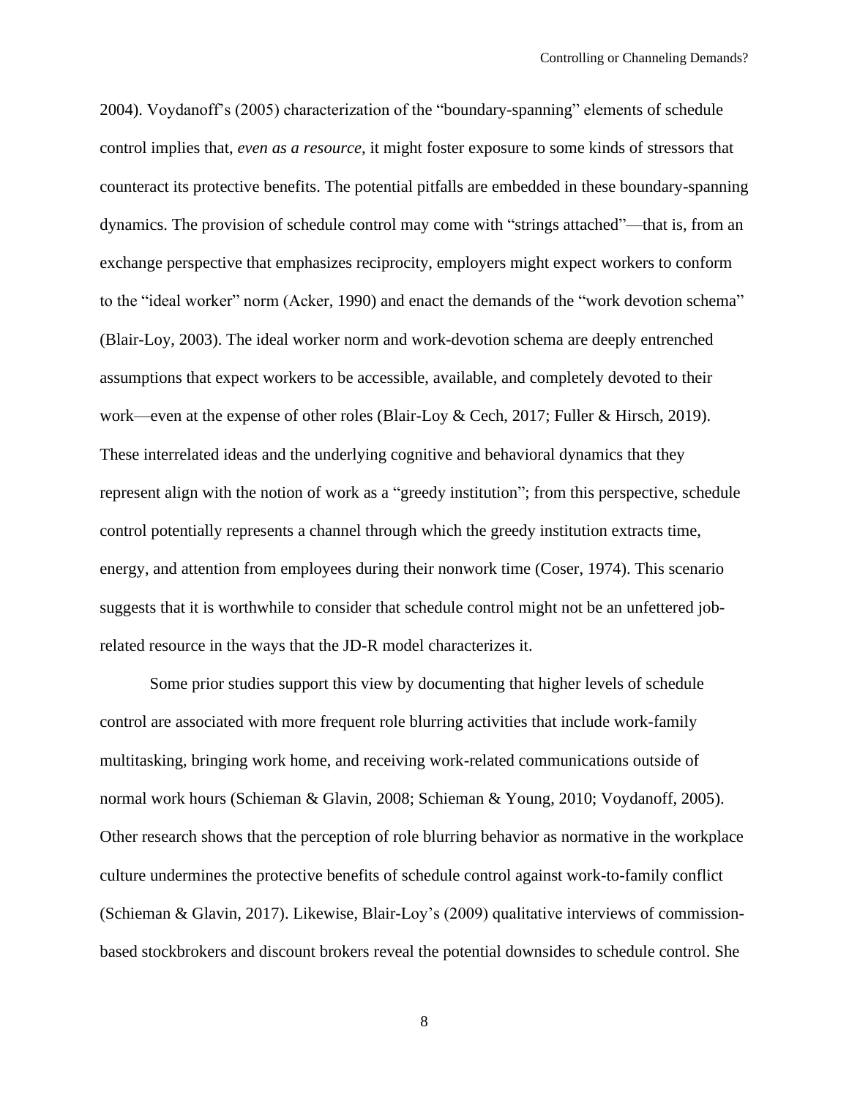2004). Voydanoff's (2005) characterization of the "boundary-spanning" elements of schedule control implies that, *even as a resource*, it might foster exposure to some kinds of stressors that counteract its protective benefits. The potential pitfalls are embedded in these boundary-spanning dynamics. The provision of schedule control may come with "strings attached"—that is, from an exchange perspective that emphasizes reciprocity, employers might expect workers to conform to the "ideal worker" norm (Acker, 1990) and enact the demands of the "work devotion schema" (Blair-Loy, 2003). The ideal worker norm and work-devotion schema are deeply entrenched assumptions that expect workers to be accessible, available, and completely devoted to their work—even at the expense of other roles (Blair-Loy & Cech, 2017; Fuller & Hirsch, 2019). These interrelated ideas and the underlying cognitive and behavioral dynamics that they represent align with the notion of work as a "greedy institution"; from this perspective, schedule control potentially represents a channel through which the greedy institution extracts time, energy, and attention from employees during their nonwork time (Coser, 1974). This scenario suggests that it is worthwhile to consider that schedule control might not be an unfettered jobrelated resource in the ways that the JD-R model characterizes it.

Some prior studies support this view by documenting that higher levels of schedule control are associated with more frequent role blurring activities that include work-family multitasking, bringing work home, and receiving work-related communications outside of normal work hours (Schieman & Glavin, 2008; Schieman & Young, 2010; Voydanoff, 2005). Other research shows that the perception of role blurring behavior as normative in the workplace culture undermines the protective benefits of schedule control against work-to-family conflict (Schieman & Glavin, 2017). Likewise, Blair-Loy's (2009) qualitative interviews of commissionbased stockbrokers and discount brokers reveal the potential downsides to schedule control. She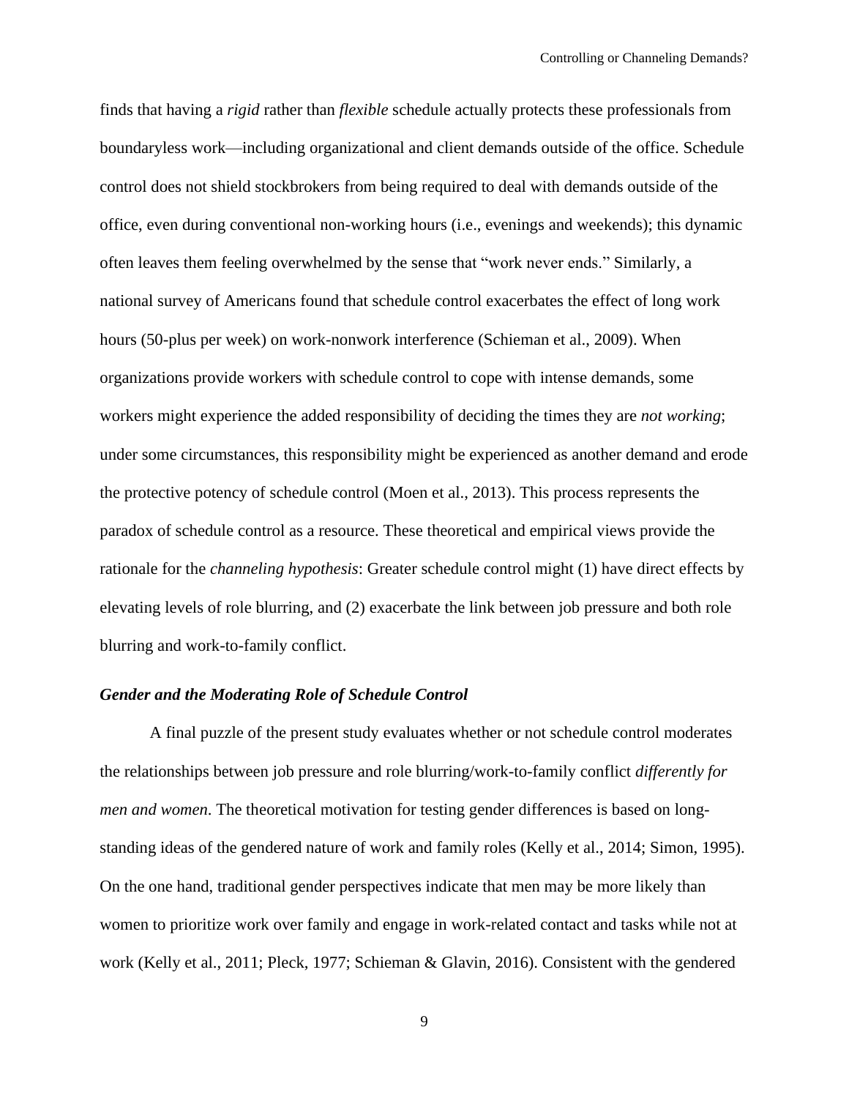finds that having a *rigid* rather than *flexible* schedule actually protects these professionals from boundaryless work—including organizational and client demands outside of the office. Schedule control does not shield stockbrokers from being required to deal with demands outside of the office, even during conventional non-working hours (i.e., evenings and weekends); this dynamic often leaves them feeling overwhelmed by the sense that "work never ends." Similarly, a national survey of Americans found that schedule control exacerbates the effect of long work hours (50-plus per week) on work-nonwork interference (Schieman et al., 2009). When organizations provide workers with schedule control to cope with intense demands, some workers might experience the added responsibility of deciding the times they are *not working*; under some circumstances, this responsibility might be experienced as another demand and erode the protective potency of schedule control (Moen et al., 2013). This process represents the paradox of schedule control as a resource. These theoretical and empirical views provide the rationale for the *channeling hypothesis*: Greater schedule control might (1) have direct effects by elevating levels of role blurring, and (2) exacerbate the link between job pressure and both role blurring and work-to-family conflict.

## *Gender and the Moderating Role of Schedule Control*

A final puzzle of the present study evaluates whether or not schedule control moderates the relationships between job pressure and role blurring/work-to-family conflict *differently for men and women*. The theoretical motivation for testing gender differences is based on longstanding ideas of the gendered nature of work and family roles (Kelly et al., 2014; Simon, 1995). On the one hand, traditional gender perspectives indicate that men may be more likely than women to prioritize work over family and engage in work-related contact and tasks while not at work (Kelly et al., 2011; Pleck, 1977; Schieman & Glavin, 2016). Consistent with the gendered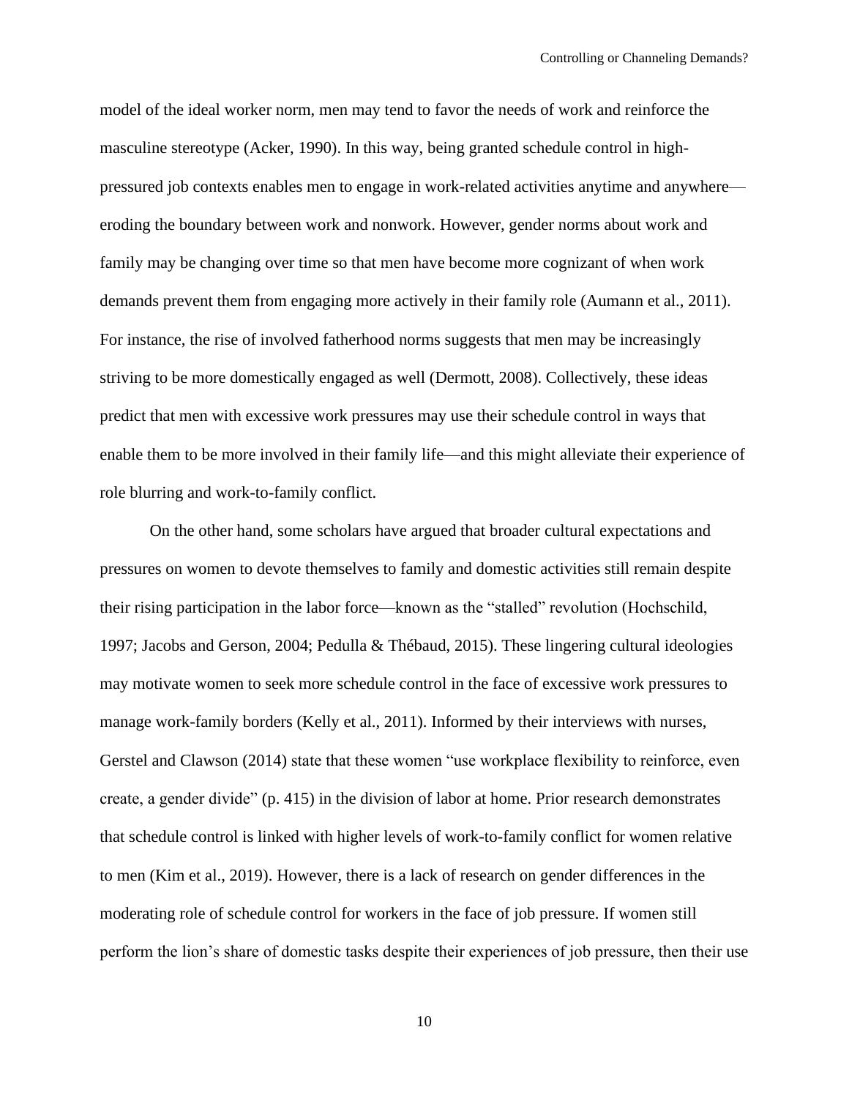model of the ideal worker norm, men may tend to favor the needs of work and reinforce the masculine stereotype (Acker, 1990). In this way, being granted schedule control in highpressured job contexts enables men to engage in work-related activities anytime and anywhere eroding the boundary between work and nonwork. However, gender norms about work and family may be changing over time so that men have become more cognizant of when work demands prevent them from engaging more actively in their family role (Aumann et al., 2011). For instance, the rise of involved fatherhood norms suggests that men may be increasingly striving to be more domestically engaged as well (Dermott, 2008). Collectively, these ideas predict that men with excessive work pressures may use their schedule control in ways that enable them to be more involved in their family life—and this might alleviate their experience of role blurring and work-to-family conflict.

On the other hand, some scholars have argued that broader cultural expectations and pressures on women to devote themselves to family and domestic activities still remain despite their rising participation in the labor force—known as the "stalled" revolution (Hochschild, 1997; Jacobs and Gerson, 2004; Pedulla & Thébaud, 2015). These lingering cultural ideologies may motivate women to seek more schedule control in the face of excessive work pressures to manage work-family borders (Kelly et al., 2011). Informed by their interviews with nurses, Gerstel and Clawson (2014) state that these women "use workplace flexibility to reinforce, even create, a gender divide" (p. 415) in the division of labor at home. Prior research demonstrates that schedule control is linked with higher levels of work-to-family conflict for women relative to men (Kim et al., 2019). However, there is a lack of research on gender differences in the moderating role of schedule control for workers in the face of job pressure. If women still perform the lion's share of domestic tasks despite their experiences of job pressure, then their use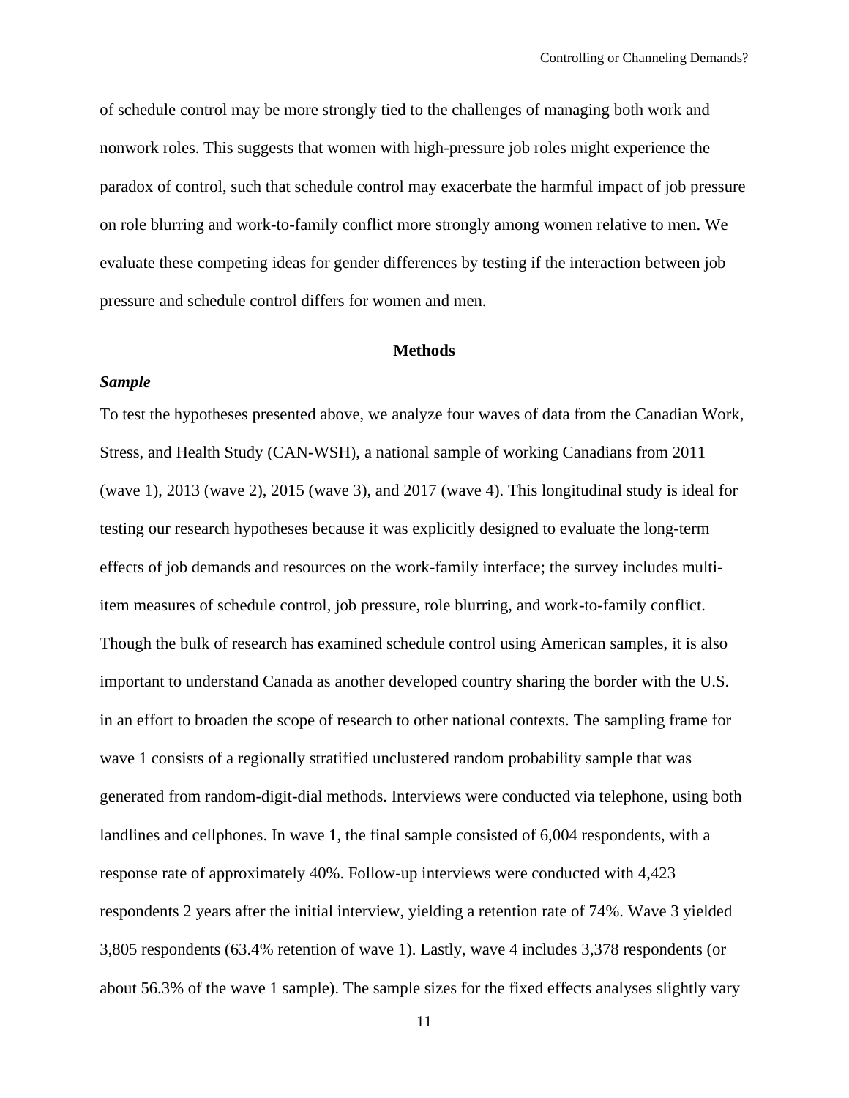of schedule control may be more strongly tied to the challenges of managing both work and nonwork roles. This suggests that women with high-pressure job roles might experience the paradox of control, such that schedule control may exacerbate the harmful impact of job pressure on role blurring and work-to-family conflict more strongly among women relative to men. We evaluate these competing ideas for gender differences by testing if the interaction between job pressure and schedule control differs for women and men.

## **Methods**

## *Sample*

To test the hypotheses presented above, we analyze four waves of data from the Canadian Work, Stress, and Health Study (CAN-WSH), a national sample of working Canadians from 2011 (wave 1), 2013 (wave 2), 2015 (wave 3), and 2017 (wave 4). This longitudinal study is ideal for testing our research hypotheses because it was explicitly designed to evaluate the long-term effects of job demands and resources on the work-family interface; the survey includes multiitem measures of schedule control, job pressure, role blurring, and work-to-family conflict. Though the bulk of research has examined schedule control using American samples, it is also important to understand Canada as another developed country sharing the border with the U.S. in an effort to broaden the scope of research to other national contexts. The sampling frame for wave 1 consists of a regionally stratified unclustered random probability sample that was generated from random-digit-dial methods. Interviews were conducted via telephone, using both landlines and cellphones. In wave 1, the final sample consisted of 6,004 respondents, with a response rate of approximately 40%. Follow-up interviews were conducted with 4,423 respondents 2 years after the initial interview, yielding a retention rate of 74%. Wave 3 yielded 3,805 respondents (63.4% retention of wave 1). Lastly, wave 4 includes 3,378 respondents (or about 56.3% of the wave 1 sample). The sample sizes for the fixed effects analyses slightly vary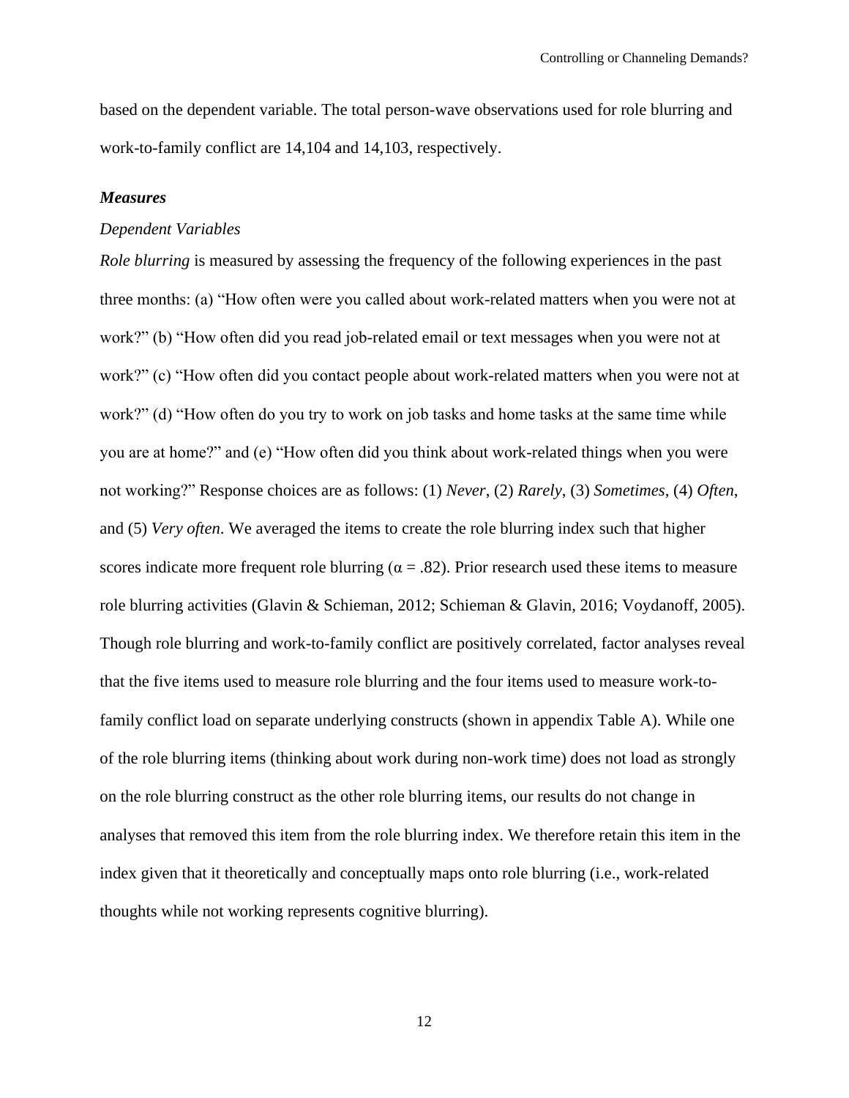based on the dependent variable. The total person-wave observations used for role blurring and work-to-family conflict are 14,104 and 14,103, respectively.

#### *Measures*

#### *Dependent Variables*

*Role blurring* is measured by assessing the frequency of the following experiences in the past three months: (a) "How often were you called about work-related matters when you were not at work?" (b) "How often did you read job-related email or text messages when you were not at work?" (c) "How often did you contact people about work-related matters when you were not at work?" (d) "How often do you try to work on job tasks and home tasks at the same time while you are at home?" and (e) "How often did you think about work-related things when you were not working?" Response choices are as follows: (1) *Never*, (2) *Rarely*, (3) *Sometimes*, (4) *Often*, and (5) *Very often*. We averaged the items to create the role blurring index such that higher scores indicate more frequent role blurring ( $\alpha = .82$ ). Prior research used these items to measure role blurring activities (Glavin & Schieman, 2012; Schieman & Glavin, 2016; Voydanoff, 2005). Though role blurring and work-to-family conflict are positively correlated, factor analyses reveal that the five items used to measure role blurring and the four items used to measure work-tofamily conflict load on separate underlying constructs (shown in appendix Table A). While one of the role blurring items (thinking about work during non-work time) does not load as strongly on the role blurring construct as the other role blurring items, our results do not change in analyses that removed this item from the role blurring index. We therefore retain this item in the index given that it theoretically and conceptually maps onto role blurring (i.e., work-related thoughts while not working represents cognitive blurring).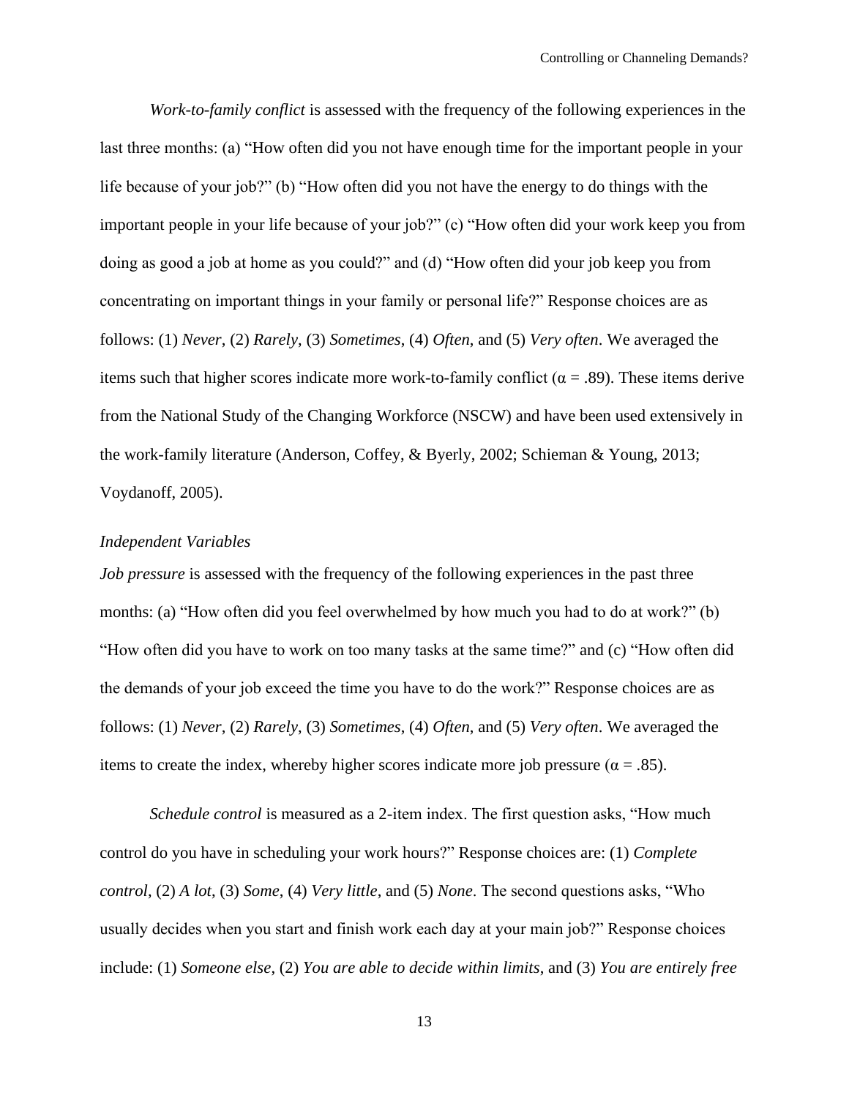*Work-to-family conflict* is assessed with the frequency of the following experiences in the last three months: (a) "How often did you not have enough time for the important people in your life because of your job?" (b) "How often did you not have the energy to do things with the important people in your life because of your job?" (c) "How often did your work keep you from doing as good a job at home as you could?" and (d) "How often did your job keep you from concentrating on important things in your family or personal life?" Response choices are as follows: (1) *Never*, (2) *Rarely*, (3) *Sometimes*, (4) *Often*, and (5) *Very often*. We averaged the items such that higher scores indicate more work-to-family conflict ( $\alpha = .89$ ). These items derive from the National Study of the Changing Workforce (NSCW) and have been used extensively in the work-family literature (Anderson, Coffey, & Byerly, 2002; Schieman & Young, 2013; Voydanoff, 2005).

## *Independent Variables*

*Job pressure* is assessed with the frequency of the following experiences in the past three months: (a) "How often did you feel overwhelmed by how much you had to do at work?" (b) "How often did you have to work on too many tasks at the same time?" and (c) "How often did the demands of your job exceed the time you have to do the work?" Response choices are as follows: (1) *Never*, (2) *Rarely*, (3) *Sometimes*, (4) *Often*, and (5) *Very often*. We averaged the items to create the index, whereby higher scores indicate more job pressure ( $\alpha = .85$ ).

*Schedule control* is measured as a 2-item index. The first question asks, "How much control do you have in scheduling your work hours?" Response choices are: (1) *Complete control*, (2) *A lot*, (3) *Some*, (4) *Very little*, and (5) *None*. The second questions asks, "Who usually decides when you start and finish work each day at your main job?" Response choices include: (1) *Someone else*, (2) *You are able to decide within limits*, and (3) *You are entirely free*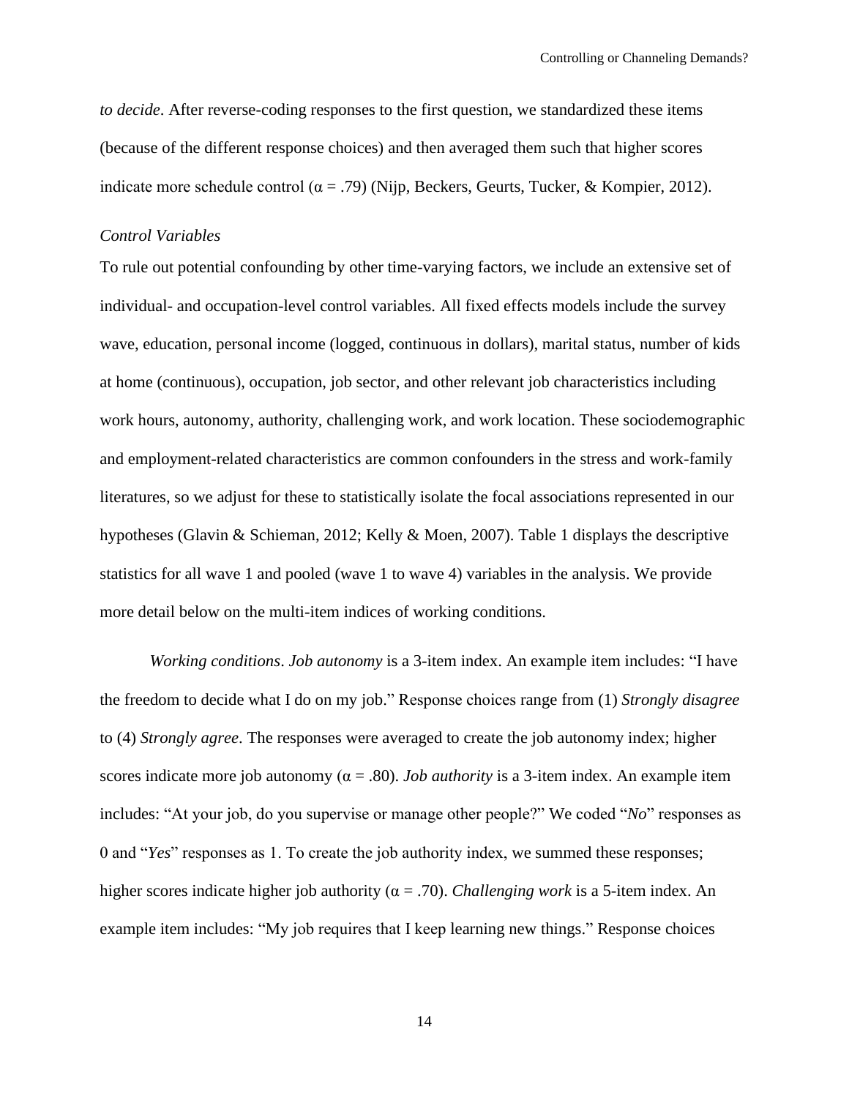*to decide*. After reverse-coding responses to the first question, we standardized these items (because of the different response choices) and then averaged them such that higher scores indicate more schedule control ( $\alpha$  = .79) (Nijp, Beckers, Geurts, Tucker, & Kompier, 2012).

#### *Control Variables*

To rule out potential confounding by other time-varying factors, we include an extensive set of individual- and occupation-level control variables. All fixed effects models include the survey wave, education, personal income (logged, continuous in dollars), marital status, number of kids at home (continuous), occupation, job sector, and other relevant job characteristics including work hours, autonomy, authority, challenging work, and work location. These sociodemographic and employment-related characteristics are common confounders in the stress and work-family literatures, so we adjust for these to statistically isolate the focal associations represented in our hypotheses (Glavin & Schieman, 2012; Kelly & Moen, 2007). Table 1 displays the descriptive statistics for all wave 1 and pooled (wave 1 to wave 4) variables in the analysis. We provide more detail below on the multi-item indices of working conditions.

*Working conditions*. *Job autonomy* is a 3-item index. An example item includes: "I have the freedom to decide what I do on my job." Response choices range from (1) *Strongly disagree* to (4) *Strongly agree*. The responses were averaged to create the job autonomy index; higher scores indicate more job autonomy ( $\alpha = .80$ ). *Job authority* is a 3-item index. An example item includes: "At your job, do you supervise or manage other people?" We coded "*No*" responses as 0 and "*Yes*" responses as 1. To create the job authority index, we summed these responses; higher scores indicate higher job authority (α = .70). *Challenging work* is a 5-item index. An example item includes: "My job requires that I keep learning new things." Response choices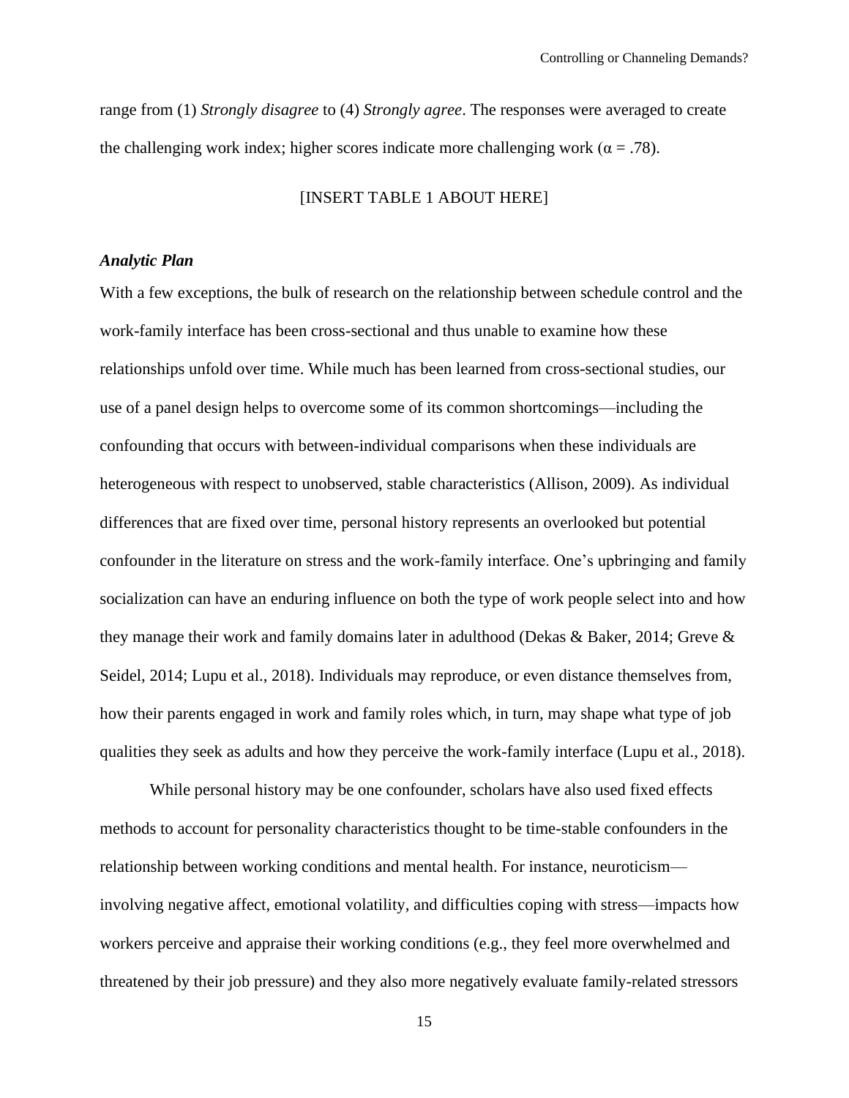range from (1) *Strongly disagree* to (4) *Strongly agree*. The responses were averaged to create the challenging work index; higher scores indicate more challenging work ( $\alpha = .78$ ).

## [INSERT TABLE 1 ABOUT HERE]

## *Analytic Plan*

With a few exceptions, the bulk of research on the relationship between schedule control and the work-family interface has been cross-sectional and thus unable to examine how these relationships unfold over time. While much has been learned from cross-sectional studies, our use of a panel design helps to overcome some of its common shortcomings—including the confounding that occurs with between-individual comparisons when these individuals are heterogeneous with respect to unobserved, stable characteristics (Allison, 2009). As individual differences that are fixed over time, personal history represents an overlooked but potential confounder in the literature on stress and the work-family interface. One's upbringing and family socialization can have an enduring influence on both the type of work people select into and how they manage their work and family domains later in adulthood (Dekas & Baker, 2014; Greve & Seidel, 2014; Lupu et al., 2018). Individuals may reproduce, or even distance themselves from, how their parents engaged in work and family roles which, in turn, may shape what type of job qualities they seek as adults and how they perceive the work-family interface (Lupu et al., 2018).

While personal history may be one confounder, scholars have also used fixed effects methods to account for personality characteristics thought to be time-stable confounders in the relationship between working conditions and mental health. For instance, neuroticism involving negative affect, emotional volatility, and difficulties coping with stress—impacts how workers perceive and appraise their working conditions (e.g., they feel more overwhelmed and threatened by their job pressure) and they also more negatively evaluate family-related stressors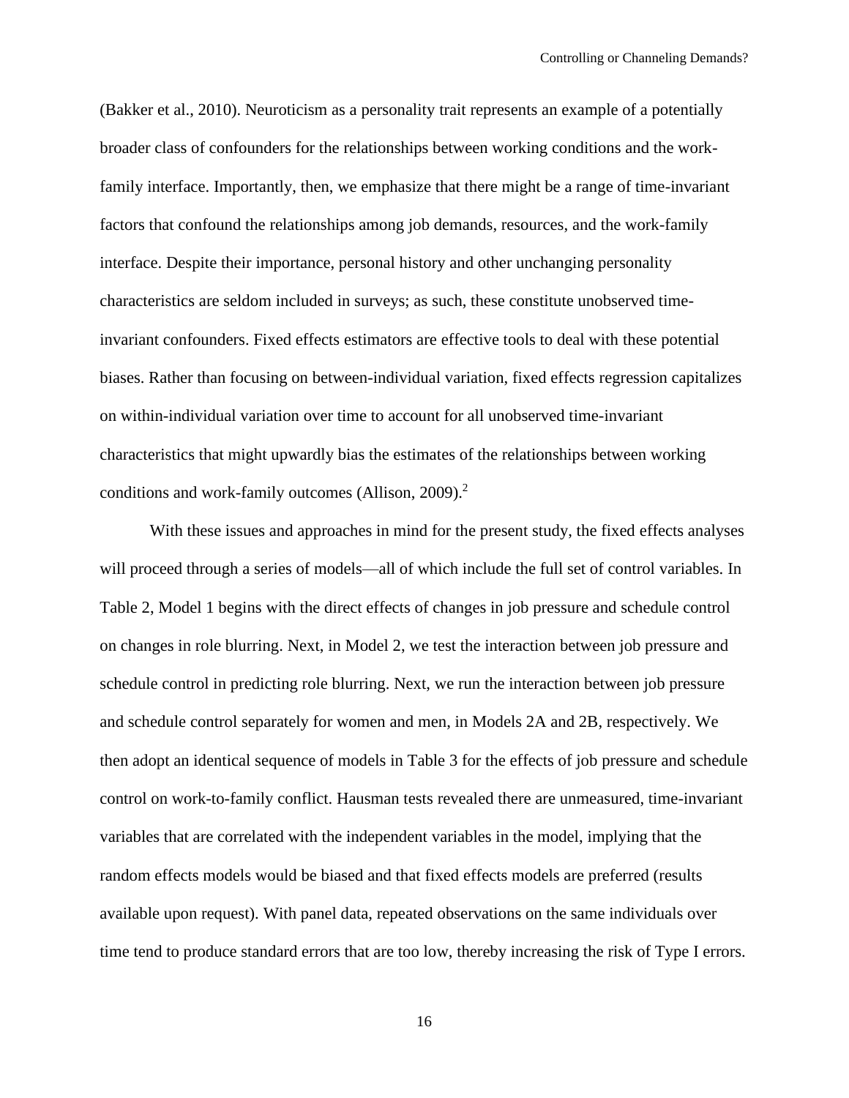(Bakker et al., 2010). Neuroticism as a personality trait represents an example of a potentially broader class of confounders for the relationships between working conditions and the workfamily interface. Importantly, then, we emphasize that there might be a range of time-invariant factors that confound the relationships among job demands, resources, and the work-family interface. Despite their importance, personal history and other unchanging personality characteristics are seldom included in surveys; as such, these constitute unobserved timeinvariant confounders. Fixed effects estimators are effective tools to deal with these potential biases. Rather than focusing on between-individual variation, fixed effects regression capitalizes on within-individual variation over time to account for all unobserved time-invariant characteristics that might upwardly bias the estimates of the relationships between working conditions and work-family outcomes (Allison, 2009). 2

With these issues and approaches in mind for the present study, the fixed effects analyses will proceed through a series of models—all of which include the full set of control variables. In Table 2, Model 1 begins with the direct effects of changes in job pressure and schedule control on changes in role blurring. Next, in Model 2, we test the interaction between job pressure and schedule control in predicting role blurring. Next, we run the interaction between job pressure and schedule control separately for women and men, in Models 2A and 2B, respectively. We then adopt an identical sequence of models in Table 3 for the effects of job pressure and schedule control on work-to-family conflict. Hausman tests revealed there are unmeasured, time-invariant variables that are correlated with the independent variables in the model, implying that the random effects models would be biased and that fixed effects models are preferred (results available upon request). With panel data, repeated observations on the same individuals over time tend to produce standard errors that are too low, thereby increasing the risk of Type I errors.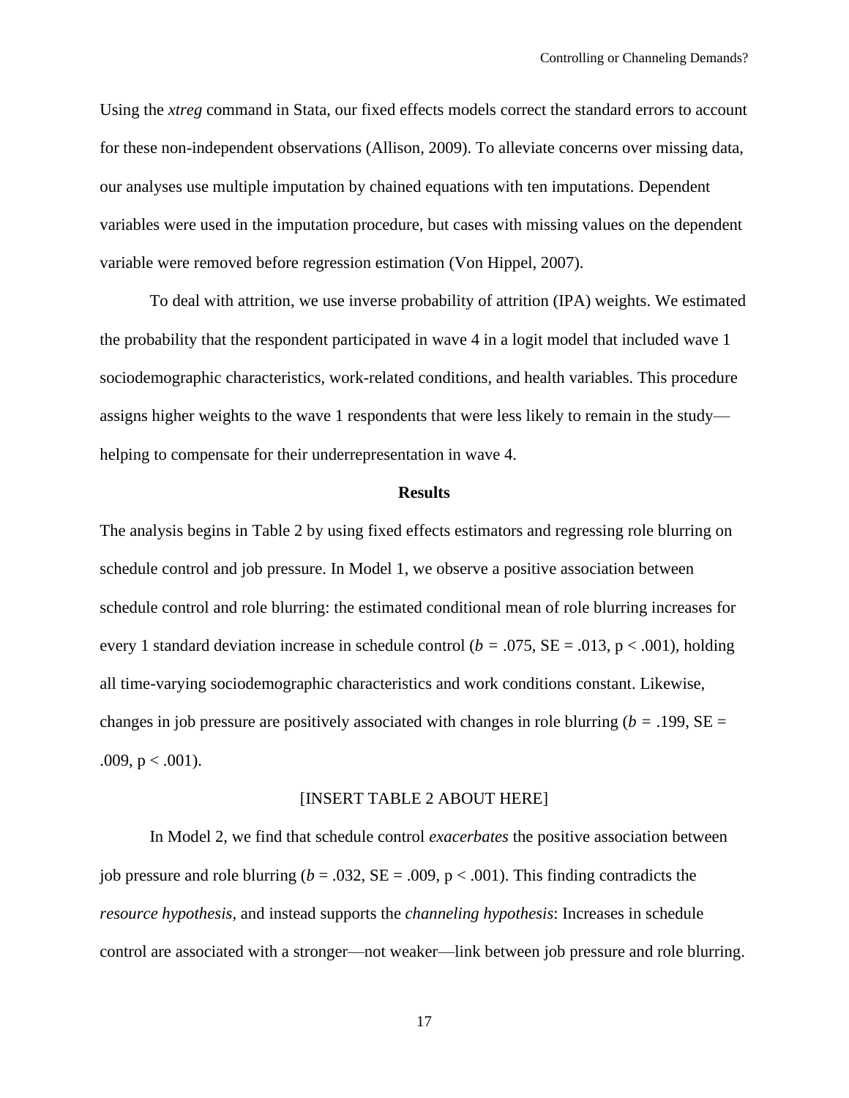Using the *xtreg* command in Stata, our fixed effects models correct the standard errors to account for these non-independent observations (Allison, 2009). To alleviate concerns over missing data, our analyses use multiple imputation by chained equations with ten imputations. Dependent variables were used in the imputation procedure, but cases with missing values on the dependent variable were removed before regression estimation (Von Hippel, 2007).

To deal with attrition, we use inverse probability of attrition (IPA) weights. We estimated the probability that the respondent participated in wave 4 in a logit model that included wave 1 sociodemographic characteristics, work-related conditions, and health variables. This procedure assigns higher weights to the wave 1 respondents that were less likely to remain in the study helping to compensate for their underrepresentation in wave 4.

#### **Results**

The analysis begins in Table 2 by using fixed effects estimators and regressing role blurring on schedule control and job pressure. In Model 1, we observe a positive association between schedule control and role blurring: the estimated conditional mean of role blurring increases for every 1 standard deviation increase in schedule control (*b =* .075, SE = .013, p < .001), holding all time-varying sociodemographic characteristics and work conditions constant. Likewise, changes in job pressure are positively associated with changes in role blurring ( $b = .199$ ,  $SE =$ .009,  $p < .001$ ).

#### [INSERT TABLE 2 ABOUT HERE]

In Model 2, we find that schedule control *exacerbates* the positive association between job pressure and role blurring ( $b = .032$ ,  $SE = .009$ ,  $p < .001$ ). This finding contradicts the *resource hypothesis,* and instead supports the *channeling hypothesis*: Increases in schedule control are associated with a stronger—not weaker—link between job pressure and role blurring.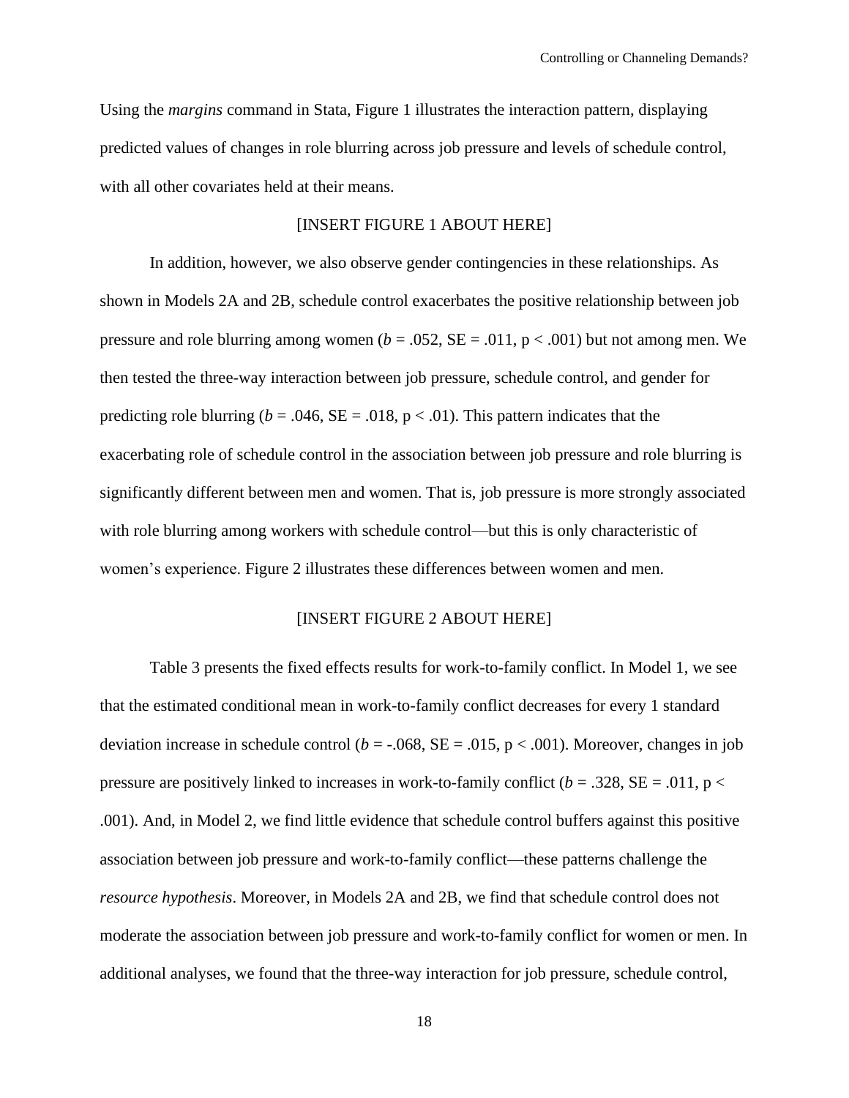Using the *margins* command in Stata, Figure 1 illustrates the interaction pattern, displaying predicted values of changes in role blurring across job pressure and levels of schedule control, with all other covariates held at their means.

## [INSERT FIGURE 1 ABOUT HERE]

In addition, however, we also observe gender contingencies in these relationships. As shown in Models 2A and 2B, schedule control exacerbates the positive relationship between job pressure and role blurring among women  $(b = .052, SE = .011, p < .001)$  but not among men. We then tested the three-way interaction between job pressure, schedule control, and gender for predicting role blurring ( $b = .046$ ,  $SE = .018$ ,  $p < .01$ ). This pattern indicates that the exacerbating role of schedule control in the association between job pressure and role blurring is significantly different between men and women. That is, job pressure is more strongly associated with role blurring among workers with schedule control—but this is only characteristic of women's experience. Figure 2 illustrates these differences between women and men.

### [INSERT FIGURE 2 ABOUT HERE]

Table 3 presents the fixed effects results for work-to-family conflict. In Model 1, we see that the estimated conditional mean in work-to-family conflict decreases for every 1 standard deviation increase in schedule control ( $b = -0.068$ , SE = .015, p < .001). Moreover, changes in job pressure are positively linked to increases in work-to-family conflict  $(b = .328, SE = .011, p <$ .001). And, in Model 2, we find little evidence that schedule control buffers against this positive association between job pressure and work-to-family conflict—these patterns challenge the *resource hypothesis*. Moreover, in Models 2A and 2B, we find that schedule control does not moderate the association between job pressure and work-to-family conflict for women or men. In additional analyses, we found that the three-way interaction for job pressure, schedule control,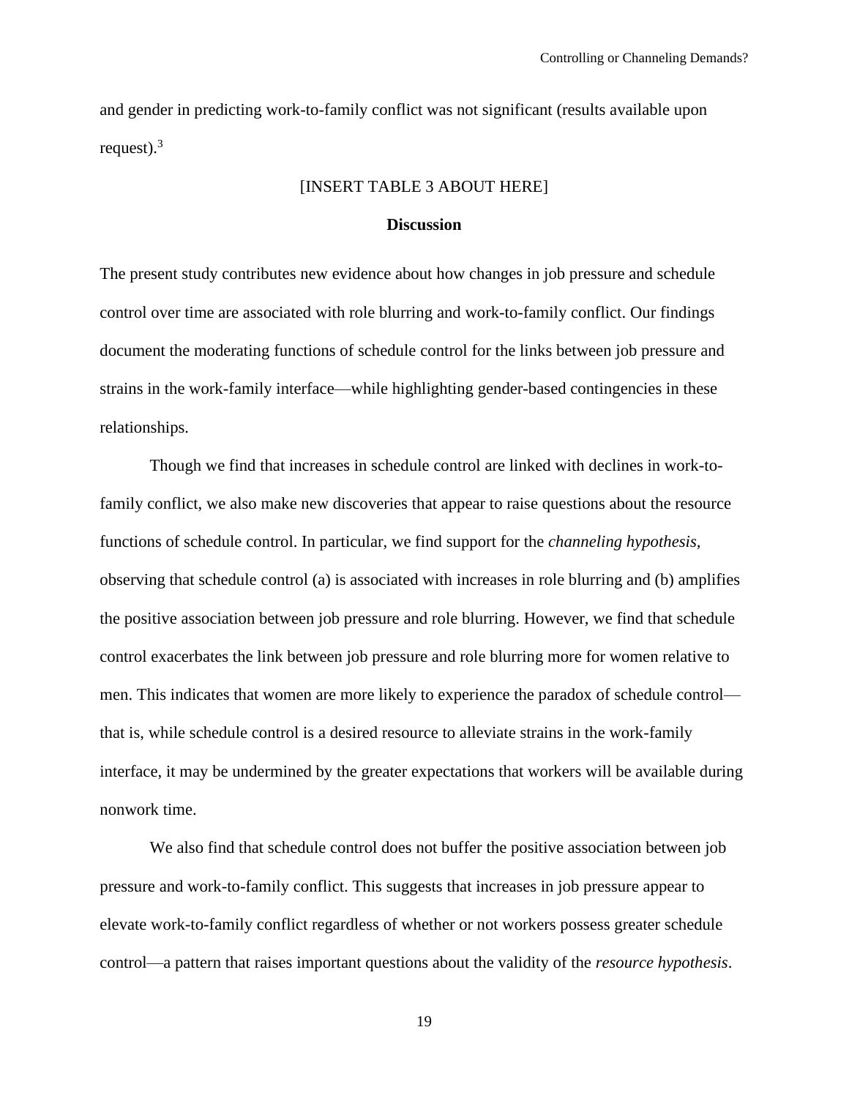and gender in predicting work-to-family conflict was not significant (results available upon request). $3$ 

### [INSERT TABLE 3 ABOUT HERE]

#### **Discussion**

The present study contributes new evidence about how changes in job pressure and schedule control over time are associated with role blurring and work-to-family conflict. Our findings document the moderating functions of schedule control for the links between job pressure and strains in the work-family interface—while highlighting gender-based contingencies in these relationships.

Though we find that increases in schedule control are linked with declines in work-tofamily conflict, we also make new discoveries that appear to raise questions about the resource functions of schedule control. In particular, we find support for the *channeling hypothesis,*  observing that schedule control (a) is associated with increases in role blurring and (b) amplifies the positive association between job pressure and role blurring. However, we find that schedule control exacerbates the link between job pressure and role blurring more for women relative to men. This indicates that women are more likely to experience the paradox of schedule control that is, while schedule control is a desired resource to alleviate strains in the work-family interface, it may be undermined by the greater expectations that workers will be available during nonwork time.

We also find that schedule control does not buffer the positive association between job pressure and work-to-family conflict. This suggests that increases in job pressure appear to elevate work-to-family conflict regardless of whether or not workers possess greater schedule control—a pattern that raises important questions about the validity of the *resource hypothesis*.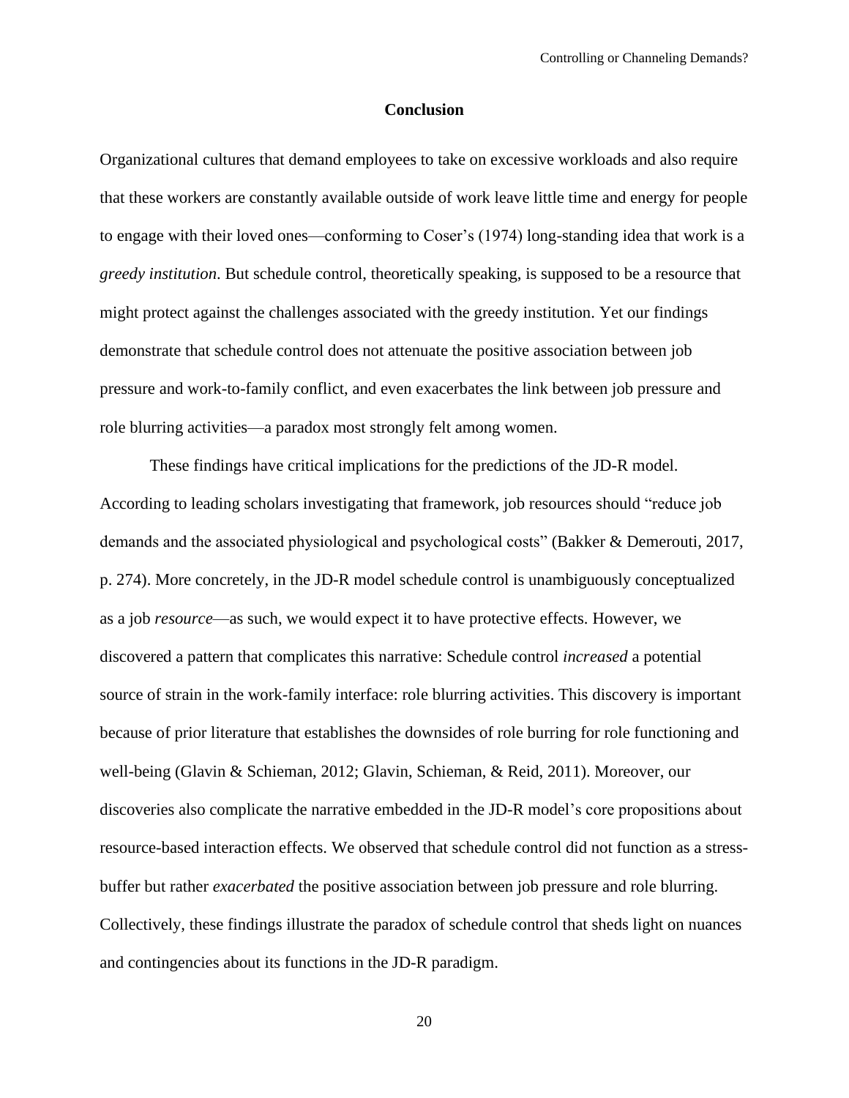#### **Conclusion**

Organizational cultures that demand employees to take on excessive workloads and also require that these workers are constantly available outside of work leave little time and energy for people to engage with their loved ones—conforming to Coser's (1974) long-standing idea that work is a *greedy institution*. But schedule control, theoretically speaking, is supposed to be a resource that might protect against the challenges associated with the greedy institution. Yet our findings demonstrate that schedule control does not attenuate the positive association between job pressure and work-to-family conflict, and even exacerbates the link between job pressure and role blurring activities—a paradox most strongly felt among women.

These findings have critical implications for the predictions of the JD-R model. According to leading scholars investigating that framework, job resources should "reduce job demands and the associated physiological and psychological costs" (Bakker & Demerouti, 2017, p. 274). More concretely, in the JD-R model schedule control is unambiguously conceptualized as a job *resource*—as such, we would expect it to have protective effects. However, we discovered a pattern that complicates this narrative: Schedule control *increased* a potential source of strain in the work-family interface: role blurring activities. This discovery is important because of prior literature that establishes the downsides of role burring for role functioning and well-being (Glavin & Schieman, 2012; Glavin, Schieman, & Reid, 2011). Moreover, our discoveries also complicate the narrative embedded in the JD-R model's core propositions about resource-based interaction effects. We observed that schedule control did not function as a stressbuffer but rather *exacerbated* the positive association between job pressure and role blurring. Collectively, these findings illustrate the paradox of schedule control that sheds light on nuances and contingencies about its functions in the JD-R paradigm.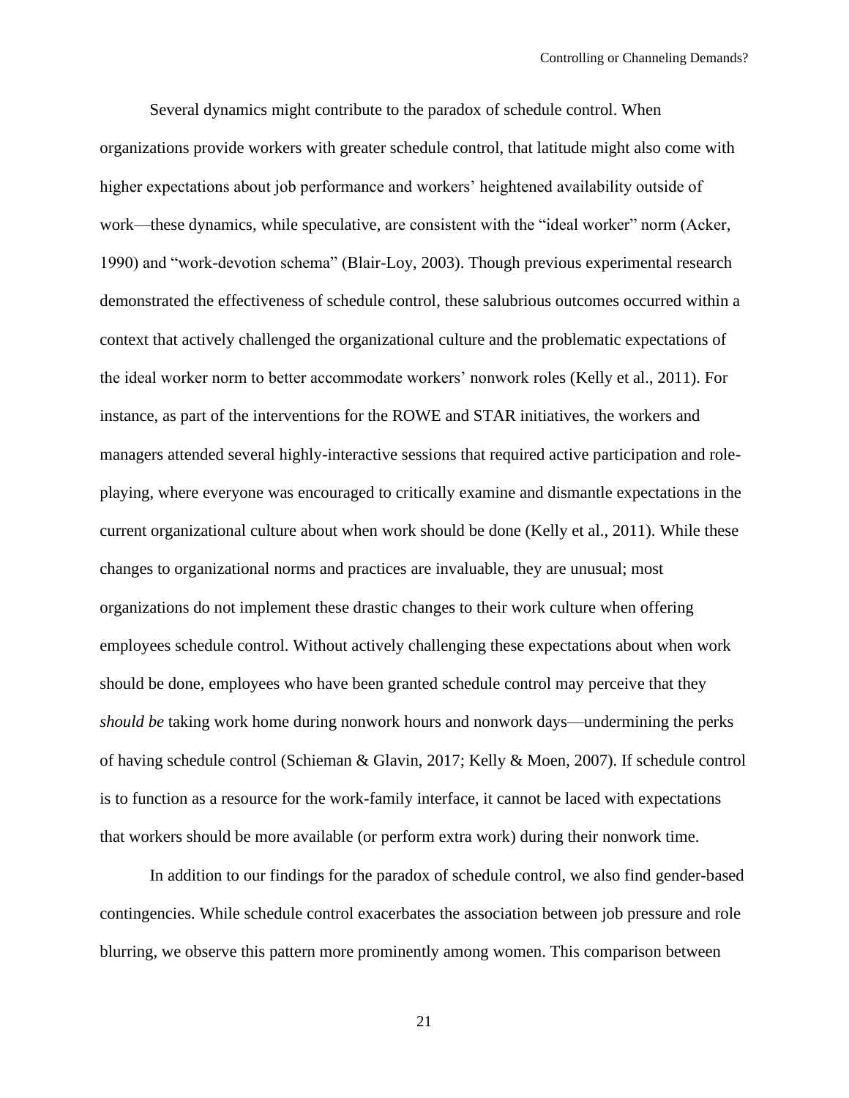Several dynamics might contribute to the paradox of schedule control. When organizations provide workers with greater schedule control, that latitude might also come with higher expectations about job performance and workers' heightened availability outside of work—these dynamics, while speculative, are consistent with the "ideal worker" norm (Acker, 1990) and "work-devotion schema" (Blair-Loy, 2003). Though previous experimental research demonstrated the effectiveness of schedule control, these salubrious outcomes occurred within a context that actively challenged the organizational culture and the problematic expectations of the ideal worker norm to better accommodate workers' nonwork roles (Kelly et al., 2011). For instance, as part of the interventions for the ROWE and STAR initiatives, the workers and managers attended several highly-interactive sessions that required active participation and roleplaying, where everyone was encouraged to critically examine and dismantle expectations in the current organizational culture about when work should be done (Kelly et al., 2011). While these changes to organizational norms and practices are invaluable, they are unusual; most organizations do not implement these drastic changes to their work culture when offering employees schedule control. Without actively challenging these expectations about when work should be done, employees who have been granted schedule control may perceive that they *should be* taking work home during nonwork hours and nonwork days—undermining the perks of having schedule control (Schieman & Glavin, 2017; Kelly & Moen, 2007). If schedule control is to function as a resource for the work-family interface, it cannot be laced with expectations that workers should be more available (or perform extra work) during their nonwork time.

In addition to our findings for the paradox of schedule control, we also find gender-based contingencies. While schedule control exacerbates the association between job pressure and role blurring, we observe this pattern more prominently among women. This comparison between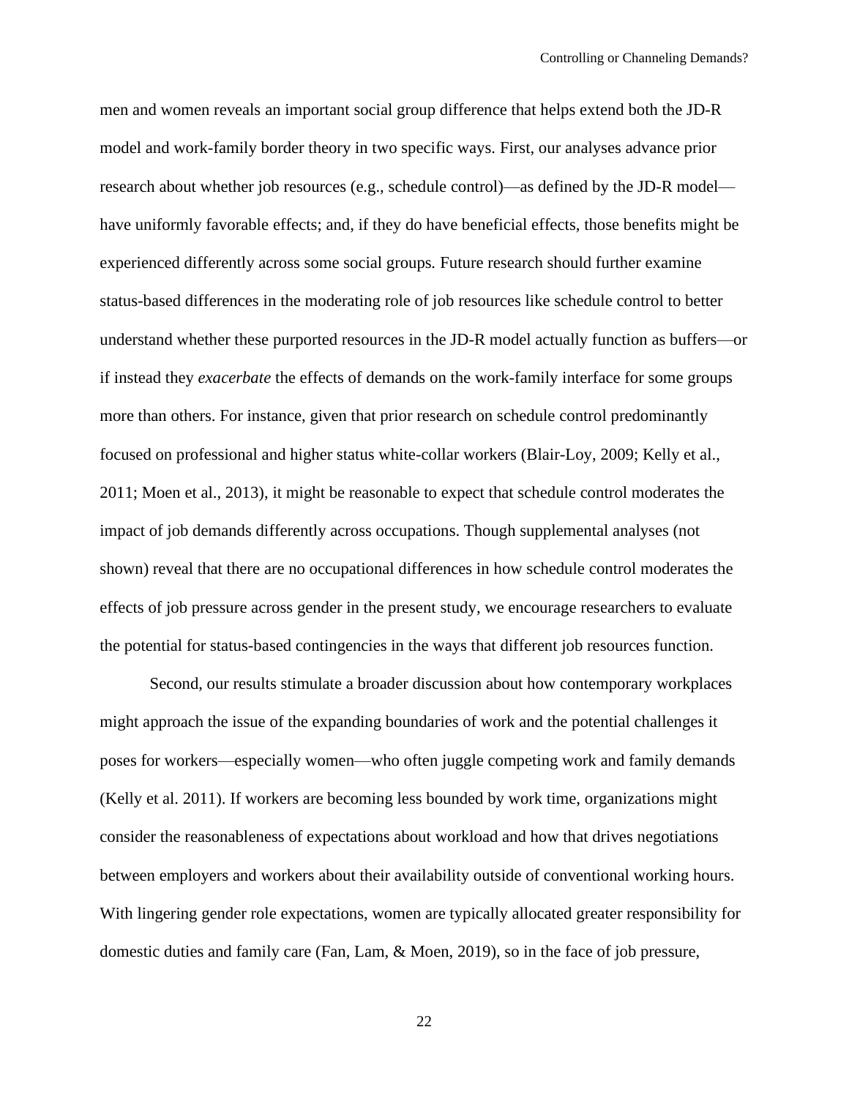men and women reveals an important social group difference that helps extend both the JD-R model and work-family border theory in two specific ways. First, our analyses advance prior research about whether job resources (e.g., schedule control)—as defined by the JD-R model have uniformly favorable effects; and, if they do have beneficial effects, those benefits might be experienced differently across some social groups*.* Future research should further examine status-based differences in the moderating role of job resources like schedule control to better understand whether these purported resources in the JD-R model actually function as buffers—or if instead they *exacerbate* the effects of demands on the work-family interface for some groups more than others. For instance, given that prior research on schedule control predominantly focused on professional and higher status white-collar workers (Blair-Loy, 2009; Kelly et al., 2011; Moen et al., 2013), it might be reasonable to expect that schedule control moderates the impact of job demands differently across occupations. Though supplemental analyses (not shown) reveal that there are no occupational differences in how schedule control moderates the effects of job pressure across gender in the present study, we encourage researchers to evaluate the potential for status-based contingencies in the ways that different job resources function.

Second, our results stimulate a broader discussion about how contemporary workplaces might approach the issue of the expanding boundaries of work and the potential challenges it poses for workers—especially women—who often juggle competing work and family demands (Kelly et al. 2011). If workers are becoming less bounded by work time, organizations might consider the reasonableness of expectations about workload and how that drives negotiations between employers and workers about their availability outside of conventional working hours. With lingering gender role expectations, women are typically allocated greater responsibility for domestic duties and family care (Fan, Lam, & Moen, 2019), so in the face of job pressure,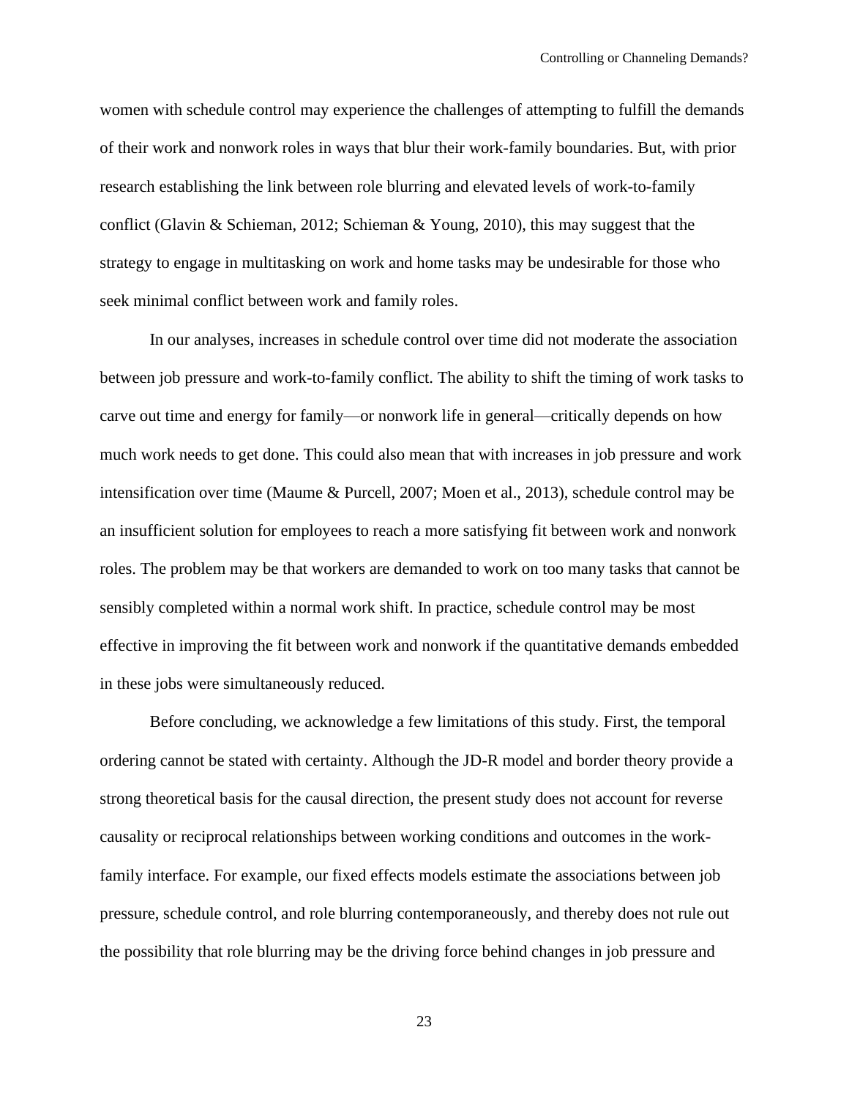women with schedule control may experience the challenges of attempting to fulfill the demands of their work and nonwork roles in ways that blur their work-family boundaries. But, with prior research establishing the link between role blurring and elevated levels of work-to-family conflict (Glavin & Schieman, 2012; Schieman & Young, 2010), this may suggest that the strategy to engage in multitasking on work and home tasks may be undesirable for those who seek minimal conflict between work and family roles.

In our analyses, increases in schedule control over time did not moderate the association between job pressure and work-to-family conflict. The ability to shift the timing of work tasks to carve out time and energy for family—or nonwork life in general—critically depends on how much work needs to get done. This could also mean that with increases in job pressure and work intensification over time (Maume & Purcell, 2007; Moen et al., 2013), schedule control may be an insufficient solution for employees to reach a more satisfying fit between work and nonwork roles. The problem may be that workers are demanded to work on too many tasks that cannot be sensibly completed within a normal work shift. In practice, schedule control may be most effective in improving the fit between work and nonwork if the quantitative demands embedded in these jobs were simultaneously reduced.

Before concluding, we acknowledge a few limitations of this study. First, the temporal ordering cannot be stated with certainty. Although the JD-R model and border theory provide a strong theoretical basis for the causal direction, the present study does not account for reverse causality or reciprocal relationships between working conditions and outcomes in the workfamily interface. For example, our fixed effects models estimate the associations between job pressure, schedule control, and role blurring contemporaneously, and thereby does not rule out the possibility that role blurring may be the driving force behind changes in job pressure and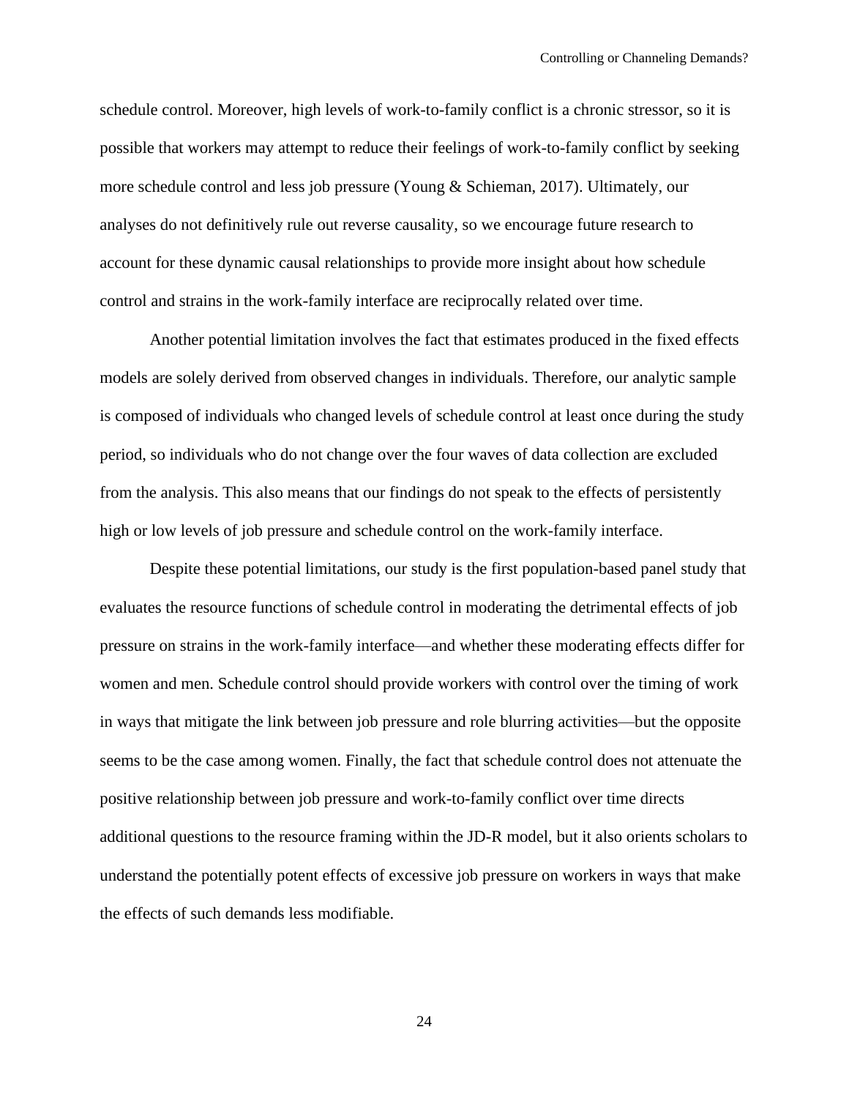schedule control. Moreover, high levels of work-to-family conflict is a chronic stressor, so it is possible that workers may attempt to reduce their feelings of work-to-family conflict by seeking more schedule control and less job pressure (Young & Schieman, 2017). Ultimately, our analyses do not definitively rule out reverse causality, so we encourage future research to account for these dynamic causal relationships to provide more insight about how schedule control and strains in the work-family interface are reciprocally related over time.

Another potential limitation involves the fact that estimates produced in the fixed effects models are solely derived from observed changes in individuals. Therefore, our analytic sample is composed of individuals who changed levels of schedule control at least once during the study period, so individuals who do not change over the four waves of data collection are excluded from the analysis. This also means that our findings do not speak to the effects of persistently high or low levels of job pressure and schedule control on the work-family interface.

Despite these potential limitations, our study is the first population-based panel study that evaluates the resource functions of schedule control in moderating the detrimental effects of job pressure on strains in the work-family interface—and whether these moderating effects differ for women and men. Schedule control should provide workers with control over the timing of work in ways that mitigate the link between job pressure and role blurring activities—but the opposite seems to be the case among women. Finally, the fact that schedule control does not attenuate the positive relationship between job pressure and work-to-family conflict over time directs additional questions to the resource framing within the JD-R model, but it also orients scholars to understand the potentially potent effects of excessive job pressure on workers in ways that make the effects of such demands less modifiable.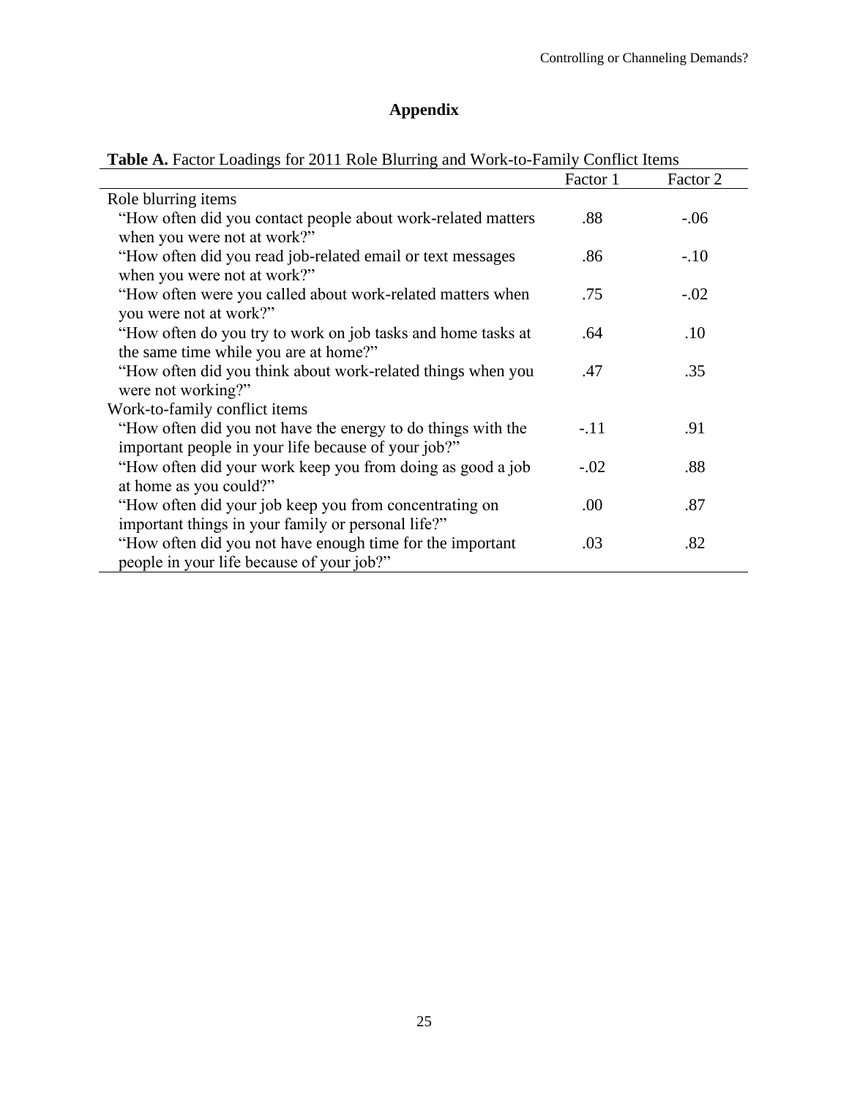# **Appendix**

|                                                                                                                     | Factor 1 | Factor 2 |
|---------------------------------------------------------------------------------------------------------------------|----------|----------|
| Role blurring items                                                                                                 |          |          |
| "How often did you contact people about work-related matters                                                        | .88      | $-.06$   |
| when you were not at work?"<br>"How often did you read job-related email or text messages                           | .86      | $-.10$   |
| when you were not at work?"<br>"How often were you called about work-related matters when                           | .75      | $-.02$   |
| you were not at work?"<br>"How often do you try to work on job tasks and home tasks at                              | .64      | .10      |
| the same time while you are at home?"<br>"How often did you think about work-related things when you                | .47      | .35      |
| were not working?"<br>Work-to-family conflict items                                                                 |          |          |
| "How often did you not have the energy to do things with the<br>important people in your life because of your job?" | $-.11$   | .91      |
| "How often did your work keep you from doing as good a job                                                          | $-.02$   | .88      |
| at home as you could?"<br>"How often did your job keep you from concentrating on                                    | .00      | .87      |
| important things in your family or personal life?"<br>"How often did you not have enough time for the important     | .03      | .82      |
| people in your life because of your job?"                                                                           |          |          |

# Table A. Factor Loadings for 2011 Role Blurring and Work-to-Family Conflict Items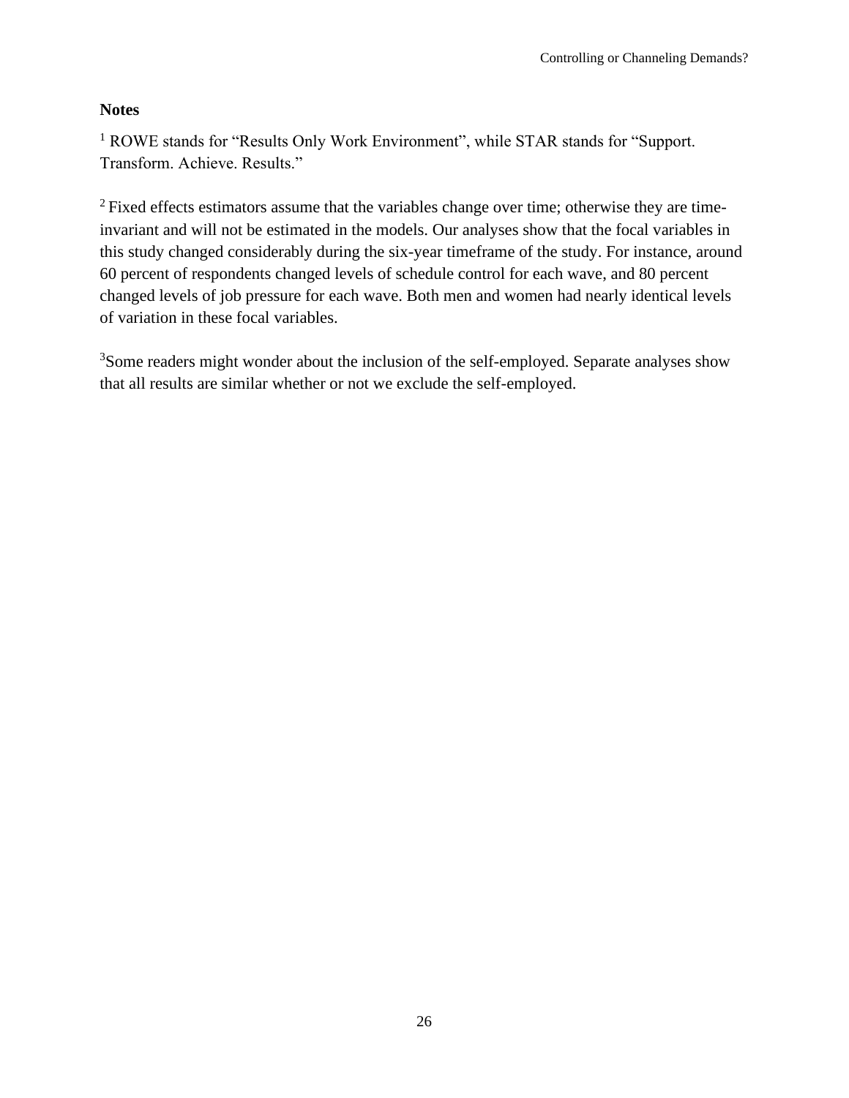## **Notes**

<sup>1</sup> ROWE stands for "Results Only Work Environment", while STAR stands for "Support. Transform. Achieve. Results."

<sup>2</sup> Fixed effects estimators assume that the variables change over time; otherwise they are timeinvariant and will not be estimated in the models. Our analyses show that the focal variables in this study changed considerably during the six-year timeframe of the study. For instance, around 60 percent of respondents changed levels of schedule control for each wave, and 80 percent changed levels of job pressure for each wave. Both men and women had nearly identical levels of variation in these focal variables.

<sup>3</sup>Some readers might wonder about the inclusion of the self-employed. Separate analyses show that all results are similar whether or not we exclude the self-employed.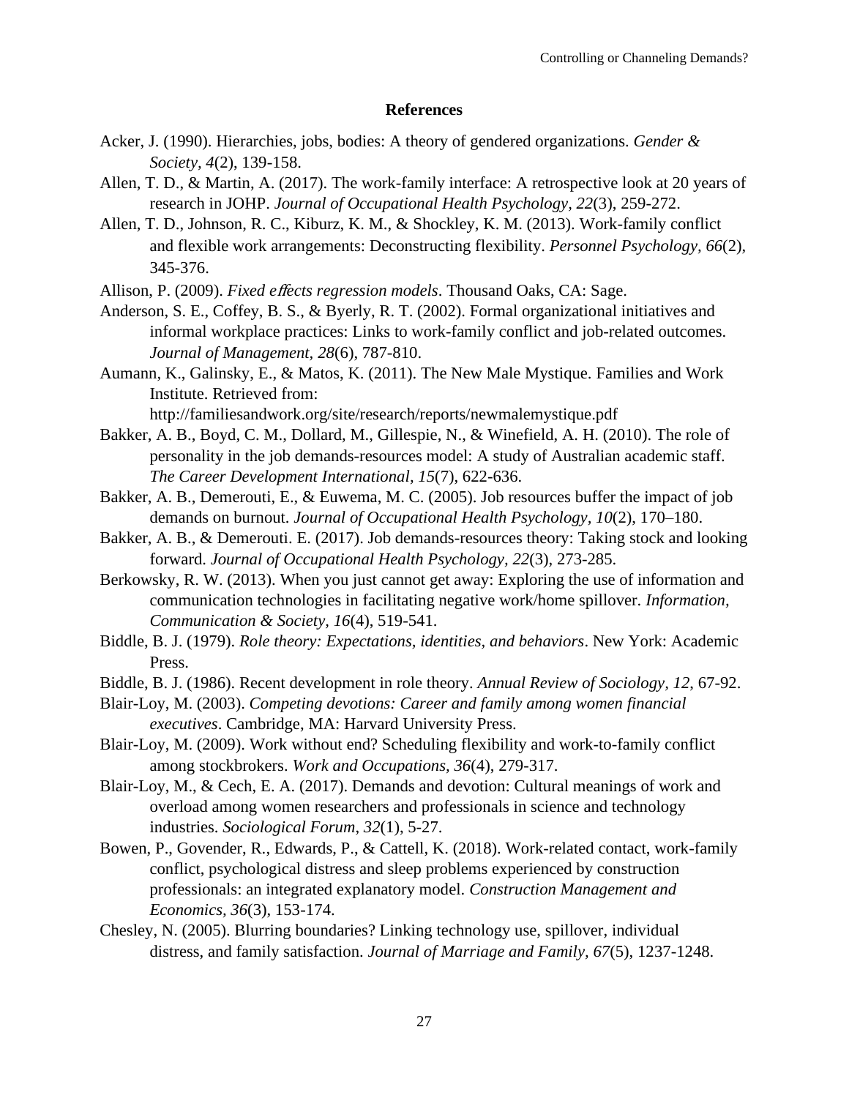## **References**

- Acker, J. (1990). Hierarchies, jobs, bodies: A theory of gendered organizations. *Gender & Society, 4*(2), 139-158.
- Allen, T. D., & Martin, A. (2017). The work-family interface: A retrospective look at 20 years of research in JOHP. *Journal of Occupational Health Psychology, 22*(3), 259-272.
- Allen, T. D., Johnson, R. C., Kiburz, K. M., & Shockley, K. M. (2013). Work-family conflict and flexible work arrangements: Deconstructing flexibility. *Personnel Psychology, 66*(2), 345-376.
- Allison, P. (2009). *Fixed e*ff*ects regression models*. Thousand Oaks, CA: Sage.
- Anderson, S. E., Coffey, B. S., & Byerly, R. T. (2002). Formal organizational initiatives and informal workplace practices: Links to work-family conflict and job-related outcomes. *Journal of Management, 28*(6), 787-810.
- Aumann, K., Galinsky, E., & Matos, K. (2011). The New Male Mystique. Families and Work Institute. Retrieved from:

http://familiesandwork.org/site/research/reports/newmalemystique.pdf

- Bakker, A. B., Boyd, C. M., Dollard, M., Gillespie, N., & Winefield, A. H. (2010). The role of personality in the job demands-resources model: A study of Australian academic staff. *The Career Development International, 15*(7), 622-636.
- Bakker, A. B., Demerouti, E., & Euwema, M. C. (2005). Job resources buffer the impact of job demands on burnout. *Journal of Occupational Health Psychology, 10*(2), 170–180.
- Bakker, A. B., & Demerouti. E. (2017). Job demands-resources theory: Taking stock and looking forward. *Journal of Occupational Health Psychology, 22*(3), 273-285.
- Berkowsky, R. W. (2013). When you just cannot get away: Exploring the use of information and communication technologies in facilitating negative work/home spillover. *Information, Communication & Society, 16*(4), 519-541.
- Biddle, B. J. (1979). *Role theory: Expectations, identities, and behaviors*. New York: Academic Press.
- Biddle, B. J. (1986). Recent development in role theory. *Annual Review of Sociology, 12*, 67-92.
- Blair-Loy, M. (2003). *Competing devotions: Career and family among women financial executives*. Cambridge, MA: Harvard University Press.
- Blair-Loy, M. (2009). Work without end? Scheduling flexibility and work-to-family conflict among stockbrokers. *Work and Occupations, 36*(4), 279-317.
- Blair-Loy, M., & Cech, E. A. (2017). Demands and devotion: Cultural meanings of work and overload among women researchers and professionals in science and technology industries. *Sociological Forum*, *32*(1), 5-27.
- Bowen, P., Govender, R., Edwards, P., & Cattell, K. (2018). Work-related contact, work-family conflict, psychological distress and sleep problems experienced by construction professionals: an integrated explanatory model. *Construction Management and Economics, 36*(3), 153-174.
- Chesley, N. (2005). Blurring boundaries? Linking technology use, spillover, individual distress, and family satisfaction. *Journal of Marriage and Family, 67*(5), 1237-1248.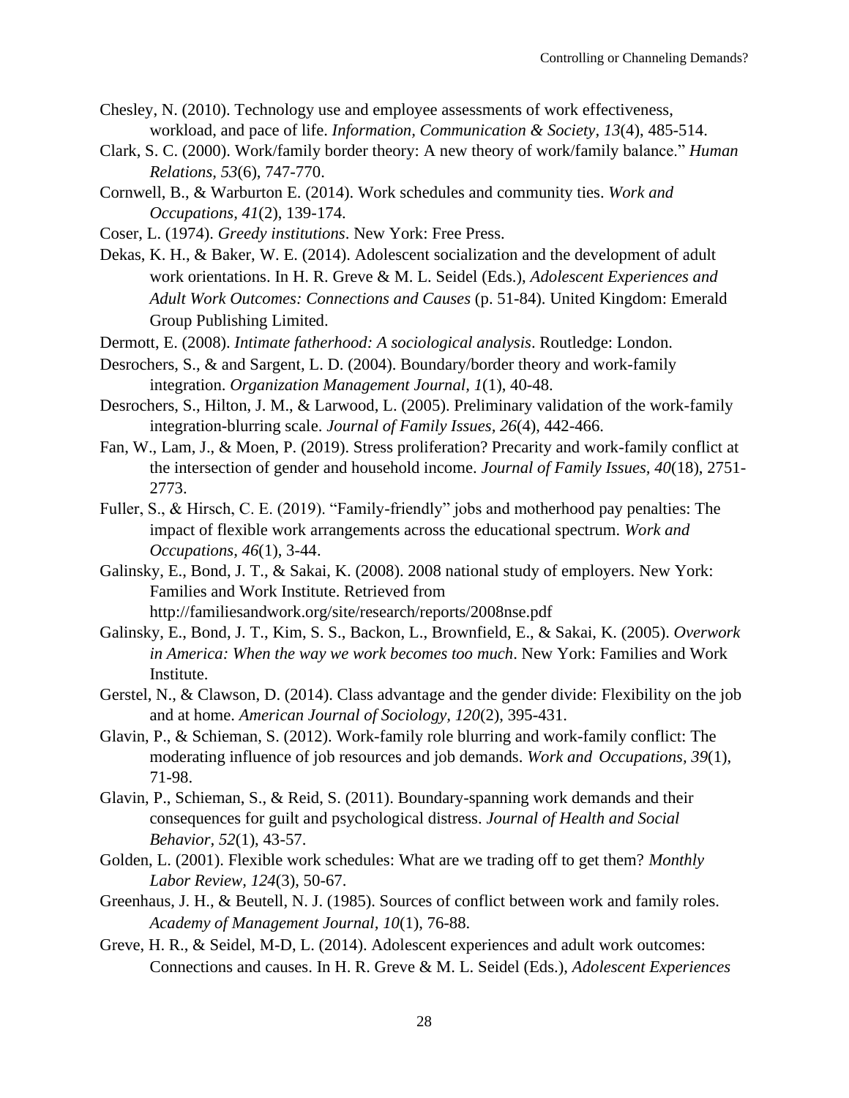- Chesley, N. (2010). Technology use and employee assessments of work effectiveness, workload, and pace of life. *Information, Communication & Society, 13*(4), 485-514.
- Clark, S. C. (2000). Work/family border theory: A new theory of work/family balance." *Human Relations, 53*(6), 747-770.
- Cornwell, B., & Warburton E. (2014). Work schedules and community ties. *Work and Occupations, 41*(2), 139-174.
- Coser, L. (1974). *Greedy institutions*. New York: Free Press.
- Dekas, K. H., & Baker, W. E. (2014). Adolescent socialization and the development of adult work orientations. In H. R. Greve & M. L. Seidel (Eds.), *Adolescent Experiences and Adult Work Outcomes: Connections and Causes* (p. 51-84). United Kingdom: Emerald Group Publishing Limited.
- Dermott, E. (2008). *Intimate fatherhood: A sociological analysis*. Routledge: London.
- Desrochers, S., & and Sargent, L. D. (2004). Boundary/border theory and work-family integration. *Organization Management Journal, 1*(1), 40-48.
- Desrochers, S., Hilton, J. M., & Larwood, L. (2005). Preliminary validation of the work-family integration-blurring scale. *Journal of Family Issues, 26*(4), 442-466.
- Fan, W., Lam, J., & Moen, P. (2019). Stress proliferation? Precarity and work-family conflict at the intersection of gender and household income. *Journal of Family Issues, 40*(18), 2751- 2773.
- Fuller, S., & Hirsch, C. E. (2019). "Family-friendly" jobs and motherhood pay penalties: The impact of flexible work arrangements across the educational spectrum. *Work and Occupations, 46*(1), 3-44.
- Galinsky, E., Bond, J. T., & Sakai, K. (2008). 2008 national study of employers. New York: Families and Work Institute. Retrieved from http://familiesandwork.org/site/research/reports/2008nse.pdf
- Galinsky, E., Bond, J. T., Kim, S. S., Backon, L., Brownfield, E., & Sakai, K. (2005). *Overwork in America: When the way we work becomes too much*. New York: Families and Work Institute.
- Gerstel, N., & Clawson, D. (2014). Class advantage and the gender divide: Flexibility on the job and at home. *American Journal of Sociology, 120*(2), 395-431.
- Glavin, P., & Schieman, S. (2012). Work-family role blurring and work-family conflict: The moderating influence of job resources and job demands. *Work and Occupations, 39*(1), 71-98.
- Glavin, P., Schieman, S., & Reid, S. (2011). Boundary-spanning work demands and their consequences for guilt and psychological distress. *Journal of Health and Social Behavior, 52*(1), 43-57.
- Golden, L. (2001). Flexible work schedules: What are we trading off to get them? *Monthly Labor Review, 124*(3), 50-67.
- Greenhaus, J. H., & Beutell, N. J. (1985). Sources of conflict between work and family roles. *Academy of Management Journal, 10*(1), 76-88.
- Greve, H. R., & Seidel, M-D, L. (2014). Adolescent experiences and adult work outcomes: Connections and causes. In H. R. Greve & M. L. Seidel (Eds.), *Adolescent Experiences*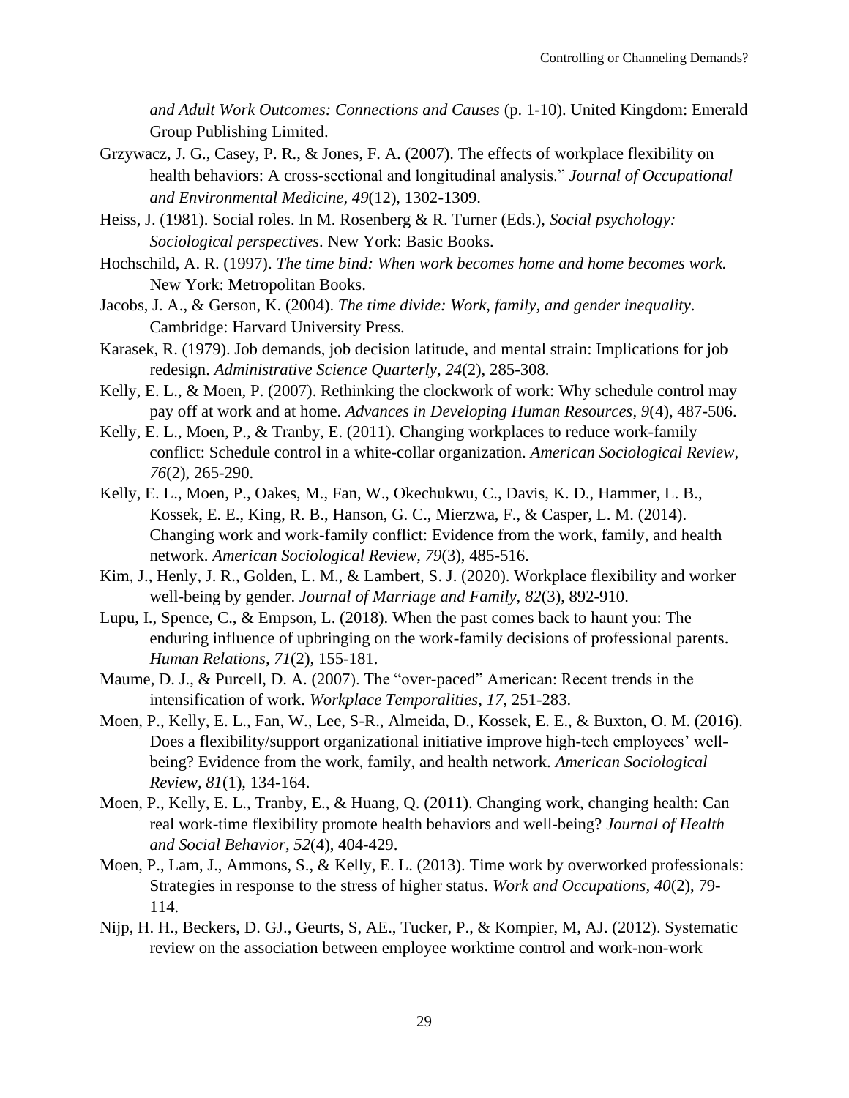*and Adult Work Outcomes: Connections and Causes* (p. 1-10). United Kingdom: Emerald Group Publishing Limited.

- Grzywacz, J. G., Casey, P. R., & Jones, F. A. (2007). The effects of workplace flexibility on health behaviors: A cross-sectional and longitudinal analysis." *Journal of Occupational and Environmental Medicine, 49*(12), 1302-1309.
- Heiss, J. (1981). Social roles. In M. Rosenberg & R. Turner (Eds.), *Social psychology: Sociological perspectives*. New York: Basic Books.
- Hochschild, A. R. (1997). *The time bind: When work becomes home and home becomes work.* New York: Metropolitan Books.
- Jacobs, J. A., & Gerson, K. (2004). *The time divide: Work, family, and gender inequality*. Cambridge: Harvard University Press.
- Karasek, R. (1979). Job demands, job decision latitude, and mental strain: Implications for job redesign. *Administrative Science Quarterly, 24*(2), 285-308.
- Kelly, E. L., & Moen, P. (2007). Rethinking the clockwork of work: Why schedule control may pay off at work and at home. *Advances in Developing Human Resources, 9*(4), 487-506.
- Kelly, E. L., Moen, P., & Tranby, E. (2011). Changing workplaces to reduce work-family conflict: Schedule control in a white-collar organization. *American Sociological Review, 76*(2), 265-290.
- Kelly, E. L., Moen, P., Oakes, M., Fan, W., Okechukwu, C., Davis, K. D., Hammer, L. B., Kossek, E. E., King, R. B., Hanson, G. C., Mierzwa, F., & Casper, L. M. (2014). Changing work and work-family conflict: Evidence from the work, family, and health network. *American Sociological Review, 79*(3), 485-516.
- Kim, J., Henly, J. R., Golden, L. M., & Lambert, S. J. (2020). Workplace flexibility and worker well-being by gender. *Journal of Marriage and Family, 82*(3), 892-910.
- Lupu, I., Spence, C., & Empson, L. (2018). When the past comes back to haunt you: The enduring influence of upbringing on the work-family decisions of professional parents. *Human Relations, 71*(2), 155-181.
- Maume, D. J., & Purcell, D. A. (2007). The "over-paced" American: Recent trends in the intensification of work. *Workplace Temporalities, 17*, 251-283.
- Moen, P., Kelly, E. L., Fan, W., Lee, S-R., Almeida, D., Kossek, E. E., & Buxton, O. M. (2016). Does a flexibility/support organizational initiative improve high-tech employees' wellbeing? Evidence from the work, family, and health network. *American Sociological Review, 81*(1), 134-164.
- Moen, P., Kelly, E. L., Tranby, E., & Huang, Q. (2011). Changing work, changing health: Can real work-time flexibility promote health behaviors and well-being? *Journal of Health and Social Behavior, 52*(4), 404-429.
- Moen, P., Lam, J., Ammons, S., & Kelly, E. L. (2013). Time work by overworked professionals: Strategies in response to the stress of higher status. *Work and Occupations, 40*(2), 79- 114.
- Nijp, H. H., Beckers, D. GJ., Geurts, S, AE., Tucker, P., & Kompier, M, AJ. (2012). Systematic review on the association between employee worktime control and work-non-work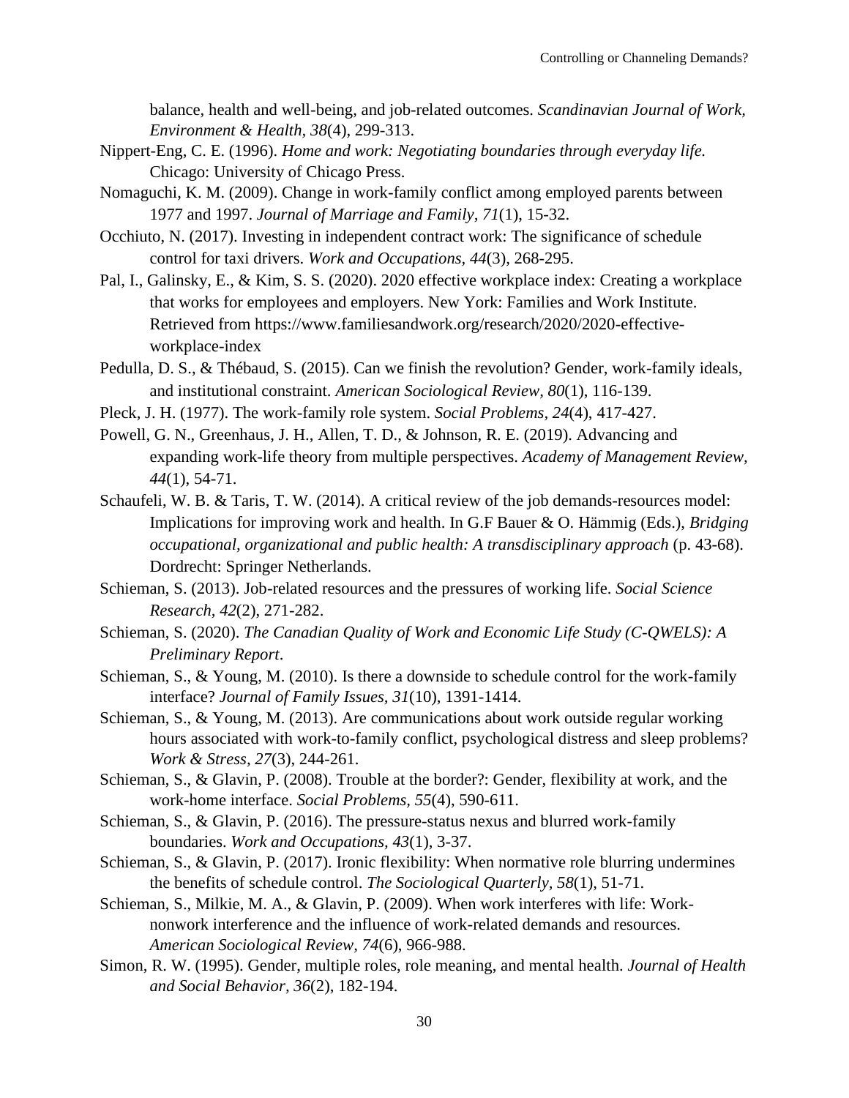balance, health and well-being, and job-related outcomes. *Scandinavian Journal of Work, Environment & Health, 38*(4), 299-313.

- Nippert-Eng, C. E. (1996). *Home and work: Negotiating boundaries through everyday life.*  Chicago: University of Chicago Press.
- Nomaguchi, K. M. (2009). Change in work-family conflict among employed parents between 1977 and 1997. *Journal of Marriage and Family, 71*(1), 15-32.
- Occhiuto, N. (2017). Investing in independent contract work: The significance of schedule control for taxi drivers. *Work and Occupations, 44*(3), 268-295.
- Pal, I., Galinsky, E., & Kim, S. S. (2020). 2020 effective workplace index: Creating a workplace that works for employees and employers. New York: Families and Work Institute. Retrieved from https://www.familiesandwork.org/research/2020/2020-effectiveworkplace-index
- Pedulla, D. S., & Thébaud, S. (2015). Can we finish the revolution? Gender, work-family ideals, and institutional constraint. *American Sociological Review, 80*(1), 116-139.
- Pleck, J. H. (1977). The work-family role system. *Social Problems, 24*(4), 417-427.
- Powell, G. N., Greenhaus, J. H., Allen, T. D., & Johnson, R. E. (2019). Advancing and expanding work-life theory from multiple perspectives. *Academy of Management Review, 44*(1), 54-71.
- Schaufeli, W. B. & Taris, T. W. (2014). A critical review of the job demands-resources model: Implications for improving work and health. In G.F Bauer & O. Hämmig (Eds.), *Bridging occupational, organizational and public health: A transdisciplinary approach* (p. 43-68). Dordrecht: Springer Netherlands.
- Schieman, S. (2013). Job-related resources and the pressures of working life. *Social Science Research, 42*(2), 271-282.
- Schieman, S. (2020). *The Canadian Quality of Work and Economic Life Study (C-QWELS): A Preliminary Report*.
- Schieman, S., & Young, M. (2010). Is there a downside to schedule control for the work-family interface? *Journal of Family Issues, 31*(10), 1391-1414.
- Schieman, S., & Young, M. (2013). Are communications about work outside regular working hours associated with work-to-family conflict, psychological distress and sleep problems? *Work & Stress, 27*(3), 244-261.
- Schieman, S., & Glavin, P. (2008). Trouble at the border?: Gender, flexibility at work, and the work-home interface. *Social Problems, 55*(4), 590-611.
- Schieman, S., & Glavin, P. (2016). The pressure-status nexus and blurred work-family boundaries. *Work and Occupations, 43*(1), 3-37.
- Schieman, S., & Glavin, P. (2017). Ironic flexibility: When normative role blurring undermines the benefits of schedule control. *The Sociological Quarterly, 58*(1), 51-71.
- Schieman, S., Milkie, M. A., & Glavin, P. (2009). When work interferes with life: Worknonwork interference and the influence of work-related demands and resources. *American Sociological Review, 74*(6), 966-988.
- Simon, R. W. (1995). Gender, multiple roles, role meaning, and mental health. *Journal of Health and Social Behavior, 36*(2), 182-194.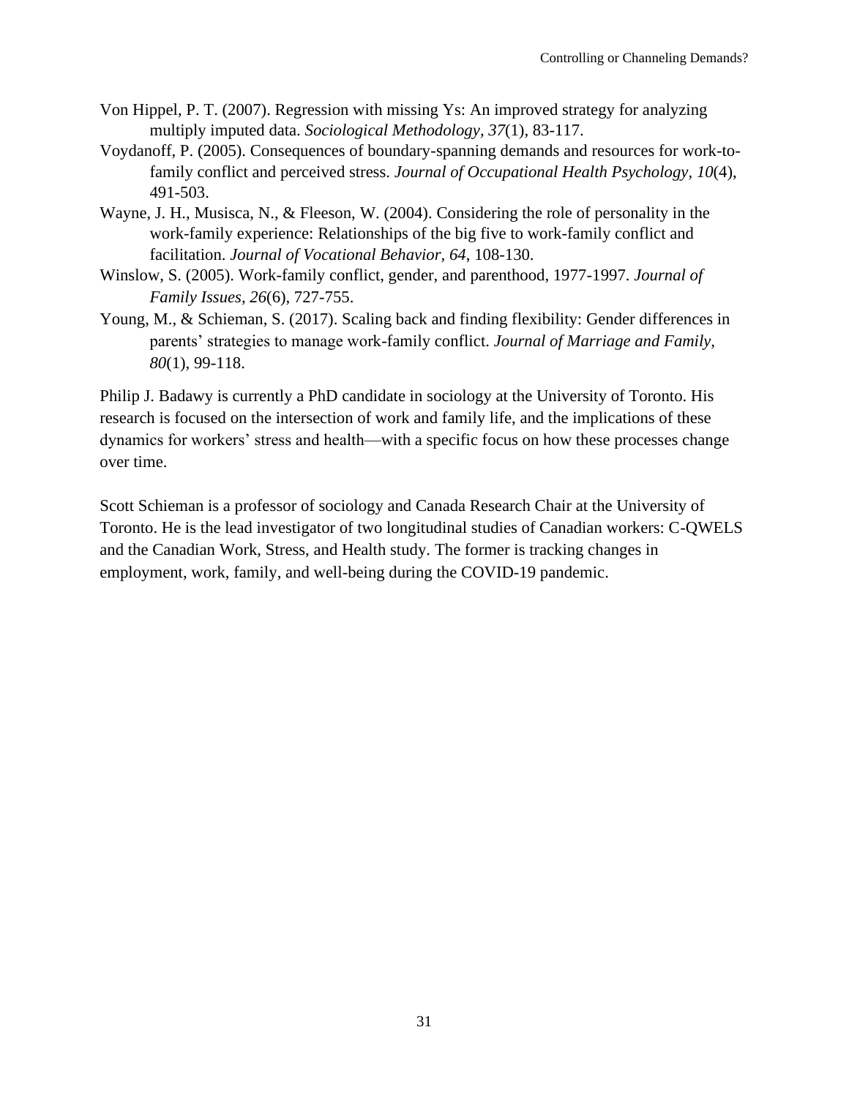- Von Hippel, P. T. (2007). Regression with missing Ys: An improved strategy for analyzing multiply imputed data. *Sociological Methodology, 37*(1), 83-117.
- Voydanoff, P. (2005). Consequences of boundary-spanning demands and resources for work-tofamily conflict and perceived stress. *Journal of Occupational Health Psychology, 10*(4), 491-503.
- Wayne, J. H., Musisca, N., & Fleeson, W. (2004). Considering the role of personality in the work-family experience: Relationships of the big five to work-family conflict and facilitation. *Journal of Vocational Behavior, 64*, 108-130.
- Winslow, S. (2005). Work-family conflict, gender, and parenthood, 1977-1997. *Journal of Family Issues, 26*(6), 727-755.
- Young, M., & Schieman, S. (2017). Scaling back and finding flexibility: Gender differences in parents' strategies to manage work-family conflict. *Journal of Marriage and Family, 80*(1), 99-118.

Philip J. Badawy is currently a PhD candidate in sociology at the University of Toronto. His research is focused on the intersection of work and family life, and the implications of these dynamics for workers' stress and health—with a specific focus on how these processes change over time.

Scott Schieman is a professor of sociology and Canada Research Chair at the University of Toronto. He is the lead investigator of two longitudinal studies of Canadian workers: C-QWELS and the Canadian Work, Stress, and Health study. The former is tracking changes in employment, work, family, and well-being during the COVID-19 pandemic.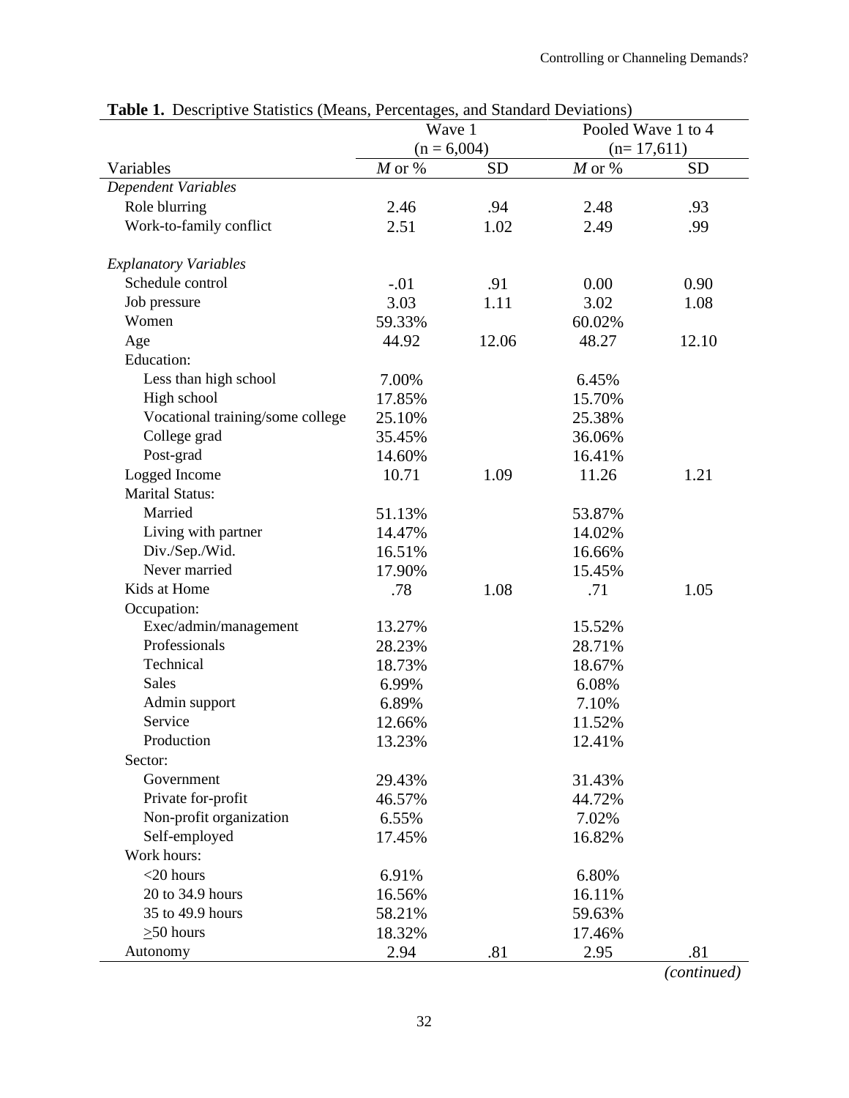|                                  | Wave 1        |           | Pooled Wave 1 to 4 |           |
|----------------------------------|---------------|-----------|--------------------|-----------|
|                                  | $(n = 6,004)$ |           | $(n=17,611)$       |           |
| Variables                        | $M$ or $\%$   | <b>SD</b> | $M$ or %           | <b>SD</b> |
| <b>Dependent Variables</b>       |               |           |                    |           |
| Role blurring                    | 2.46          | .94       | 2.48               | .93       |
| Work-to-family conflict          | 2.51          | 1.02      | 2.49               | .99       |
|                                  |               |           |                    |           |
| <b>Explanatory Variables</b>     |               |           |                    |           |
| Schedule control                 | $-.01$        | .91       | 0.00               | 0.90      |
| Job pressure                     | 3.03          | 1.11      | 3.02               | 1.08      |
| Women                            | 59.33%        |           | 60.02%             |           |
| Age                              | 44.92         | 12.06     | 48.27              | 12.10     |
| <b>Education:</b>                |               |           |                    |           |
| Less than high school            | 7.00%         |           | 6.45%              |           |
| High school                      | 17.85%        |           | 15.70%             |           |
| Vocational training/some college | 25.10%        |           | 25.38%             |           |
| College grad                     | 35.45%        |           | 36.06%             |           |
| Post-grad                        | 14.60%        |           | 16.41%             |           |
| Logged Income                    | 10.71         | 1.09      | 11.26              | 1.21      |
| <b>Marital Status:</b>           |               |           |                    |           |
| Married                          | 51.13%        |           | 53.87%             |           |
| Living with partner              | 14.47%        |           | 14.02%             |           |
| Div./Sep./Wid.                   | 16.51%        |           | 16.66%             |           |
| Never married                    | 17.90%        |           | 15.45%             |           |
| Kids at Home                     | .78           | 1.08      | .71                | 1.05      |
| Occupation:                      |               |           |                    |           |
| Exec/admin/management            | 13.27%        |           | 15.52%             |           |
| Professionals                    | 28.23%        |           | 28.71%             |           |
| Technical                        | 18.73%        |           | 18.67%             |           |
| Sales                            | 6.99%         |           | 6.08%              |           |
| Admin support                    | 6.89%         |           | 7.10%              |           |
| Service                          | 12.66%        |           | 11.52%             |           |
| Production                       | 13.23%        |           | 12.41%             |           |
| Sector:                          |               |           |                    |           |
| Government                       | 29.43%        |           | 31.43%             |           |
| Private for-profit               | 46.57%        |           | 44.72%             |           |
| Non-profit organization          | 6.55%         |           | 7.02%              |           |
| Self-employed                    | 17.45%        |           | 16.82%             |           |
| Work hours:                      |               |           |                    |           |
| $<$ 20 hours                     | 6.91%         |           | 6.80%              |           |
| 20 to 34.9 hours                 | 16.56%        |           | 16.11%             |           |
| 35 to 49.9 hours                 | 58.21%        |           | 59.63%             |           |
| $\geq$ 50 hours                  | 18.32%        |           | 17.46%             |           |
| Autonomy                         | 2.94          | .81       | 2.95               | .81       |

|  |  |  | <b>Table 1.</b> Descriptive Statistics (Means, Percentages, and Standard Deviations) |  |  |
|--|--|--|--------------------------------------------------------------------------------------|--|--|
|--|--|--|--------------------------------------------------------------------------------------|--|--|

*(continued)*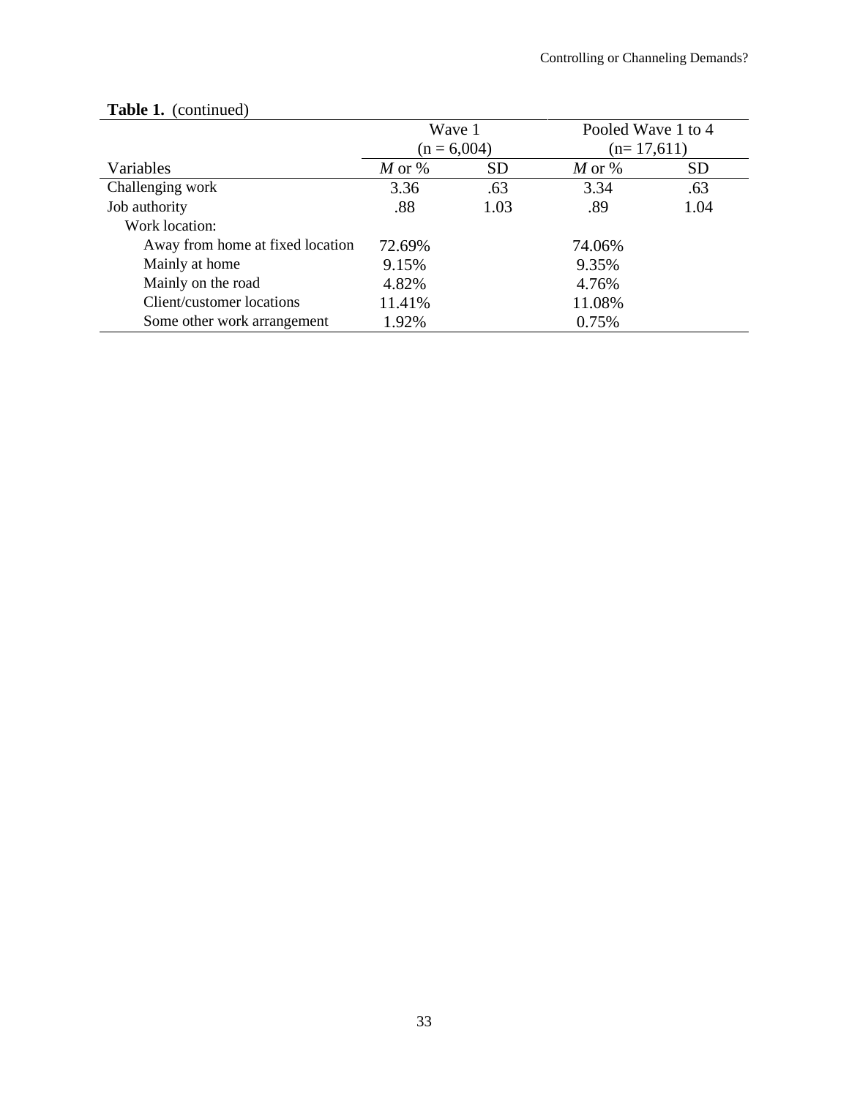|                                  | Wave 1        |           | Pooled Wave 1 to 4 |           |
|----------------------------------|---------------|-----------|--------------------|-----------|
|                                  | $(n = 6,004)$ |           | $(n=17,611)$       |           |
| Variables                        | $M$ or %      | <b>SD</b> | $M$ or %           | <b>SD</b> |
| Challenging work                 | 3.36          | .63       | 3.34               | .63       |
| Job authority                    | .88           | 1.03      | .89                | 1.04      |
| Work location:                   |               |           |                    |           |
| Away from home at fixed location | 72.69%        |           | 74.06%             |           |
| Mainly at home                   | 9.15%         |           | 9.35%              |           |
| Mainly on the road               | 4.82%         |           | 4.76%              |           |
| Client/customer locations        | 11.41%        |           | 11.08%             |           |
| Some other work arrangement      | 1.92%         |           | 0.75%              |           |

# Table 1. (continued)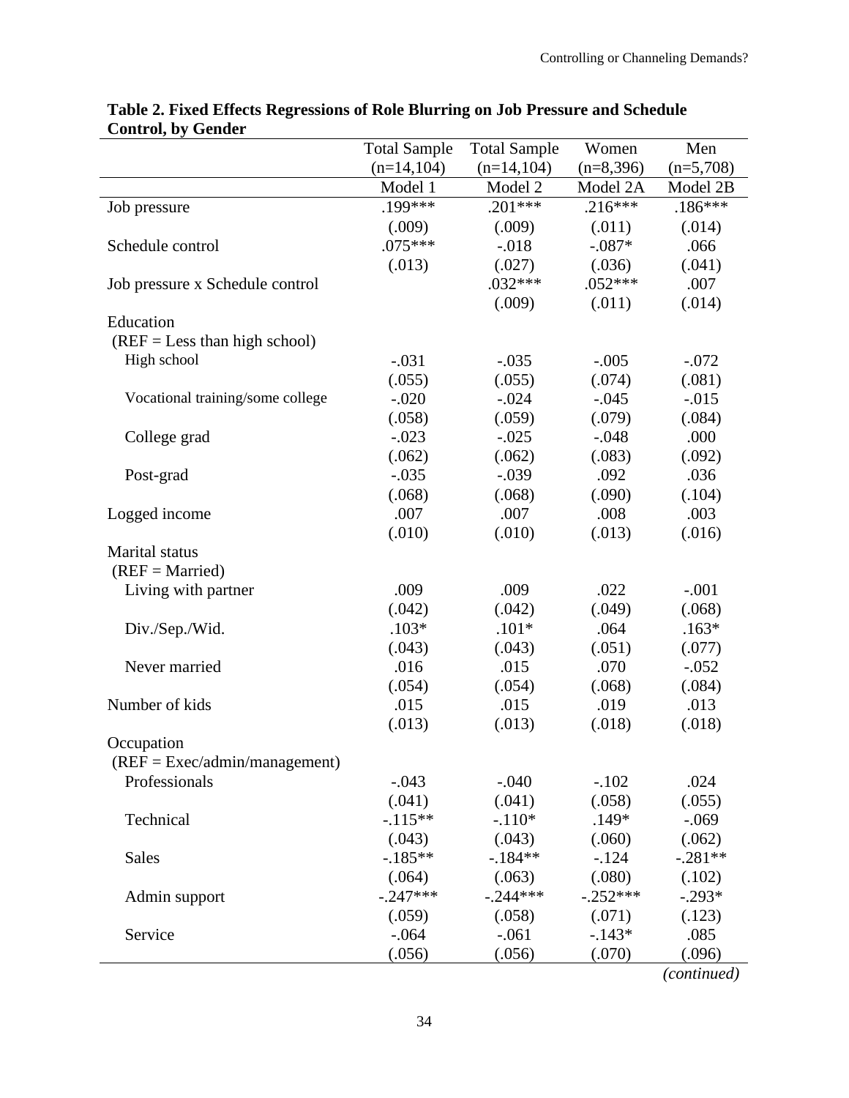|                                  | <b>Total Sample</b> | <b>Total Sample</b> | Women       | Men         |
|----------------------------------|---------------------|---------------------|-------------|-------------|
|                                  | $(n=14,104)$        | $(n=14,104)$        | $(n=8,396)$ | $(n=5,708)$ |
|                                  | Model 1             | Model 2             | Model 2A    | Model 2B    |
| Job pressure                     | .199***             | $.201***$           | $.216***$   | $.186***$   |
|                                  | (.009)              | (.009)              | (.011)      | (.014)      |
| Schedule control                 | $.075***$           | $-0.018$            | $-.087*$    | .066        |
|                                  | (.013)              | (.027)              | (.036)      | (.041)      |
| Job pressure x Schedule control  |                     | $.032***$           | $.052***$   | .007        |
|                                  |                     | (.009)              | (.011)      | (.014)      |
| Education                        |                     |                     |             |             |
| $(REF = Less than high school)$  |                     |                     |             |             |
| High school                      | $-.031$             | $-.035$             | $-.005$     | $-.072$     |
|                                  | (.055)              | (.055)              | (.074)      | (.081)      |
| Vocational training/some college | $-.020$             | $-.024$             | $-.045$     | $-0.015$    |
|                                  | (.058)              | (.059)              | (.079)      | (.084)      |
| College grad                     | $-.023$             | $-.025$             | $-.048$     | .000        |
|                                  | (.062)              | (.062)              | (.083)      | (.092)      |
| Post-grad                        | $-.035$             | $-.039$             | .092        | .036        |
|                                  | (.068)              | (.068)              | (.090)      | (.104)      |
| Logged income                    | .007                | .007                | .008        | .003        |
|                                  | (.010)              | (.010)              | (.013)      | (.016)      |
| <b>Marital</b> status            |                     |                     |             |             |
| $(REF = married)$                |                     |                     |             |             |
| Living with partner              | .009                | .009                | .022        | $-.001$     |
|                                  | (.042)              | (.042)              | (.049)      | (.068)      |
| Div./Sep./Wid.                   | $.103*$             | $.101*$             | .064        | $.163*$     |
|                                  | (.043)              | (.043)              | (.051)      | (.077)      |
| Never married                    | .016                | .015                | .070        | $-.052$     |
|                                  | (.054)              | (.054)              | (.068)      | (.084)      |
| Number of kids                   | .015                | .015                | .019        | .013        |
|                                  | (.013)              | (.013)              | (.018)      | (.018)      |
| Occupation                       |                     |                     |             |             |
| $(REF = Excel/admin/management)$ |                     |                     |             |             |
| Professionals                    | $-.043$             | $-.040$             | $-.102$     | .024        |
|                                  | (.041)              | (.041)              | (.058)      | (.055)      |
| Technical                        | $-115**$            | $-.110*$            | $.149*$     | $-.069$     |
|                                  | (.043)              | (.043)              | (.060)      | (.062)      |
| <b>Sales</b>                     | $-185**$            | $-184**$            | $-.124$     | $-.281**$   |
|                                  | (.064)              | (.063)              | (.080)      | (.102)      |
| Admin support                    | $-.247***$          | $-.244***$          | $-.252***$  | $-.293*$    |
|                                  | (.059)              | (.058)              | (.071)      | (.123)      |
| Service                          | $-.064$             | $-.061$             | $-143*$     | .085        |
|                                  | (.056)              | (.056)              | (.070)      | (.096)      |

## **Table 2. Fixed Effects Regressions of Role Blurring on Job Pressure and Schedule Control, by Gender**

*(continued)*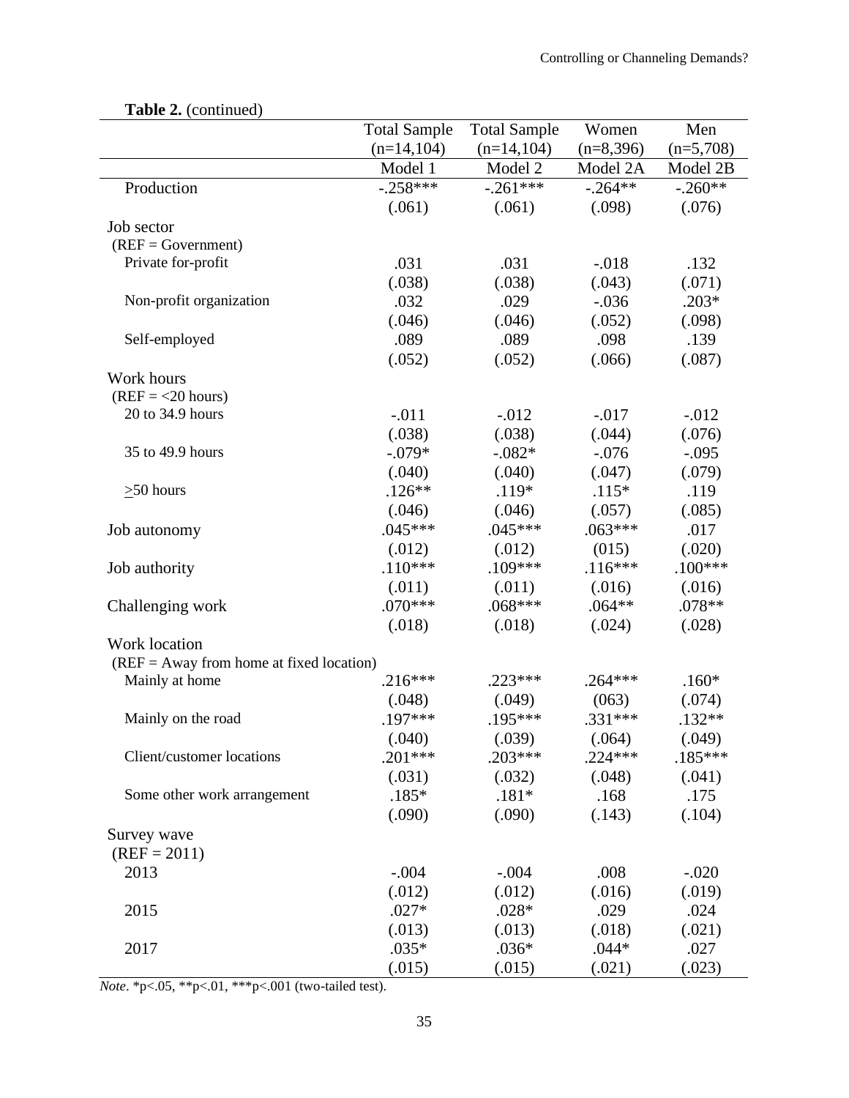|                                            | <b>Total Sample</b> | <b>Total Sample</b> | Women             | Men         |
|--------------------------------------------|---------------------|---------------------|-------------------|-------------|
|                                            | $(n=14,104)$        | $(n=14,104)$        | $(n=8,396)$       | $(n=5,708)$ |
|                                            | Model 1             | Model 2             | Model 2A          | Model 2B    |
| Production                                 | $-.258***$          | $-.261***$          | $-.264**$         | $-.260**$   |
|                                            | (.061)              | (.061)              | (.098)            | (.076)      |
| Job sector                                 |                     |                     |                   |             |
| $(REF = Government)$                       |                     |                     |                   |             |
| Private for-profit                         | .031                | .031                | $-.018$           | .132        |
|                                            | (.038)              | (.038)              | (.043)            | (.071)      |
| Non-profit organization                    | .032                | .029                | $-.036$           | $.203*$     |
|                                            | (.046)              | (.046)              | (.052)            | (.098)      |
| Self-employed                              | .089                | .089                | .098              | .139        |
|                                            |                     |                     |                   |             |
|                                            | (.052)              | (.052)              | (.066)            | (.087)      |
| Work hours<br>$(REF = <20 hours)$          |                     |                     |                   |             |
| 20 to 34.9 hours                           | $-.011$             | $-0.012$            | $-.017$           | $-.012$     |
|                                            |                     |                     |                   | (.076)      |
| 35 to 49.9 hours                           | (.038)<br>$-.079*$  | (.038)<br>$-.082*$  | (.044)<br>$-.076$ |             |
|                                            |                     |                     |                   | $-.095$     |
|                                            | (.040)              | (.040)              | (.047)            | (.079)      |
| $>50$ hours                                | $.126**$            | $.119*$             | $.115*$           | .119        |
|                                            | (.046)              | (.046)              | (.057)            | (.085)      |
| Job autonomy                               | $.045***$           | $.045***$           | $.063***$         | .017        |
|                                            | (.012)              | (.012)              | (015)             | (.020)      |
| Job authority                              | $.110***$           | $.109***$           | $.116***$         | $.100***$   |
|                                            | (.011)              | (.011)              | (.016)            | (.016)      |
| Challenging work                           | $.070***$           | $.068***$           | $.064**$          | .078**      |
|                                            | (.018)              | (.018)              | (.024)            | (.028)      |
| Work location                              |                     |                     |                   |             |
| $(REF = Away from home at fixed location)$ |                     |                     |                   |             |
| Mainly at home                             | $.216***$           | $.223***$           | $.264***$         | $.160*$     |
|                                            | (.048)              | (.049)              | (063)             | (.074)      |
| Mainly on the road                         | $.197***$           | .195***             | $.331***$         | $.132**$    |
|                                            | (.040)              | (.039)              | (.064)            | (.049)      |
| Client/customer locations                  | $.201***$           | $.203***$           | $.224***$         | $.185***$   |
|                                            | (.031)              | (.032)              | (.048)            | (.041)      |
| Some other work arrangement                | $.185*$             | $.181*$             | .168              | .175        |
|                                            | (.090)              | (.090)              | (.143)            | (.104)      |
| Survey wave                                |                     |                     |                   |             |
| $(REF = 2011)$                             |                     |                     |                   |             |
| 2013                                       | $-.004$             | $-.004$             | .008              | $-.020$     |
|                                            | (.012)              | (.012)              | (.016)            | (.019)      |
| 2015                                       | $.027*$             | $.028*$             | .029              | .024        |
|                                            | (.013)              | (.013)              | (.018)            | (.021)      |
| 2017                                       | $.035*$             | $.036*$             | $.044*$           | .027        |
|                                            | (.015)              | (.015)              | (.021)            | (.023)      |

**Table 2.** (continued)

*Note*. \*p<.05, \*\*p<.01, \*\*\*p<.001 (two-tailed test).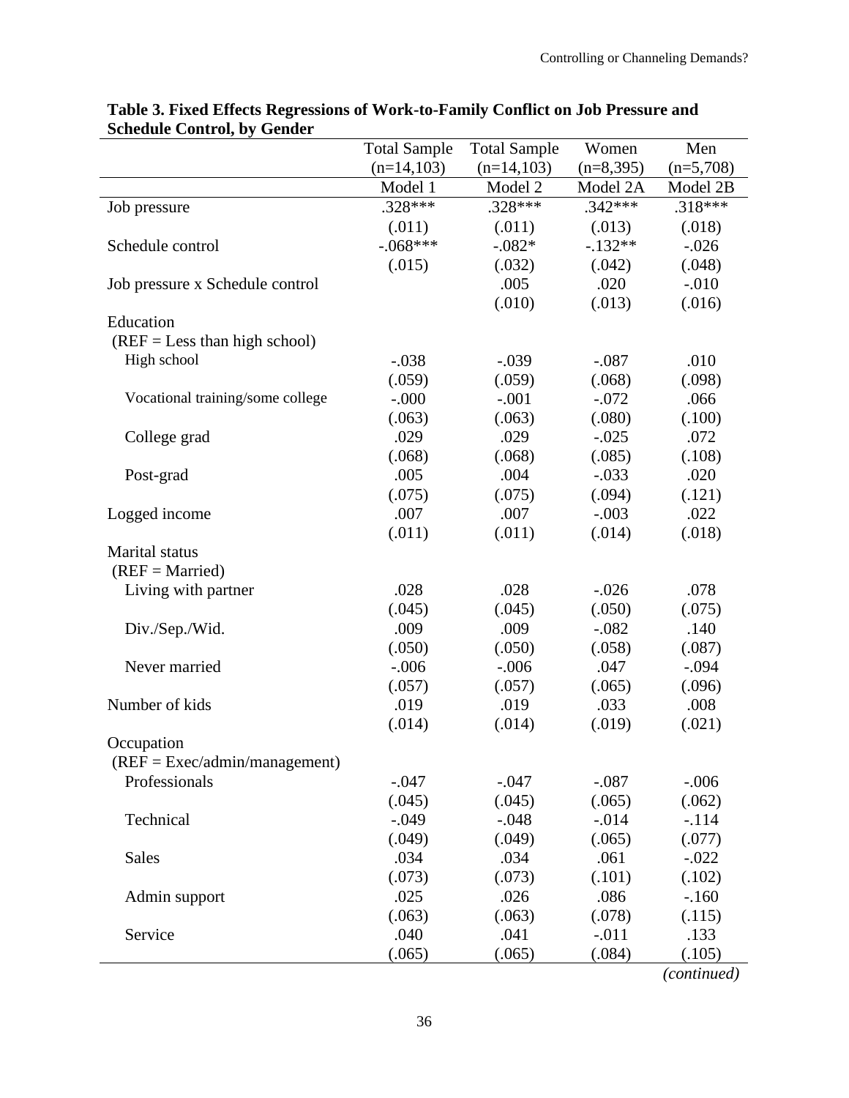|                                  | <b>Total Sample</b> | <b>Total Sample</b> | Women       | Men         |
|----------------------------------|---------------------|---------------------|-------------|-------------|
|                                  | $(n=14,103)$        | $(n=14,103)$        | $(n=8,395)$ | $(n=5,708)$ |
|                                  | Model 1             | Model 2             | Model 2A    | Model 2B    |
| Job pressure                     | $.328***$           | .328***             | $.342***$   | $.318***$   |
|                                  | (.011)              | (.011)              | (.013)      | (.018)      |
| Schedule control                 | $-.068***$          | $-.082*$            | $-132**$    | $-.026$     |
|                                  | (.015)              | (.032)              | (.042)      | (.048)      |
| Job pressure x Schedule control  |                     | .005                | .020        | $-.010$     |
|                                  |                     | (.010)              | (.013)      | (.016)      |
| Education                        |                     |                     |             |             |
| $(REF = Less than high school)$  |                     |                     |             |             |
| High school                      | $-.038$             | $-.039$             | $-.087$     | .010        |
|                                  | (.059)              | (.059)              | (.068)      | (.098)      |
| Vocational training/some college | $-.000$             | $-.001$             | $-.072$     | .066        |
|                                  | (.063)              | (.063)              | (.080)      | (.100)      |
| College grad                     | .029                | .029                | $-.025$     | .072        |
|                                  | (.068)              | (.068)              | (.085)      | (.108)      |
| Post-grad                        | .005                | .004                | $-.033$     | .020        |
|                                  | (.075)              | (.075)              | (.094)      | (.121)      |
| Logged income                    | .007                | .007                | $-.003$     | .022        |
|                                  | (.011)              | (.011)              | (.014)      | (.018)      |
| <b>Marital</b> status            |                     |                     |             |             |
| $(REF = married)$                |                     |                     |             |             |
| Living with partner              | .028                | .028                | $-.026$     | .078        |
|                                  | (.045)              | (.045)              | (.050)      | (.075)      |
| Div./Sep./Wid.                   | .009                | .009                | $-.082$     | .140        |
|                                  | (.050)              | (.050)              | (.058)      | (.087)      |
| Never married                    | $-.006$             | $-.006$             | .047        | $-.094$     |
|                                  | (.057)              | (.057)              | (.065)      | (.096)      |
| Number of kids                   | .019                | .019                | .033        | .008        |
|                                  | (.014)              | (.014)              | (.019)      | (.021)      |
| Occupation                       |                     |                     |             |             |
| $(REF = Excel/dmin/management)$  |                     |                     |             |             |
| Professionals                    | $-.047$             | $-.047$             | $-.087$     | $-.006$     |
|                                  | (.045)              | (.045)              | (.065)      | (.062)      |
| Technical                        | $-.049$             | $-.048$             | $-.014$     | $-.114$     |
|                                  | (.049)              | (.049)              | (.065)      | (.077)      |
| Sales                            | .034                | .034                | .061        | $-.022$     |
|                                  | (.073)              | (.073)              | (.101)      | (.102)      |
| Admin support                    | .025                | .026                | .086        | $-.160$     |
|                                  | (.063)              | (.063)              | (.078)      | (.115)      |
| Service                          | .040                | .041                | $-.011$     | .133        |
|                                  | (.065)              | (.065)              | (.084)      | (.105)      |

## **Table 3. Fixed Effects Regressions of Work-to-Family Conflict on Job Pressure and Schedule Control, by Gender**

*(continued)*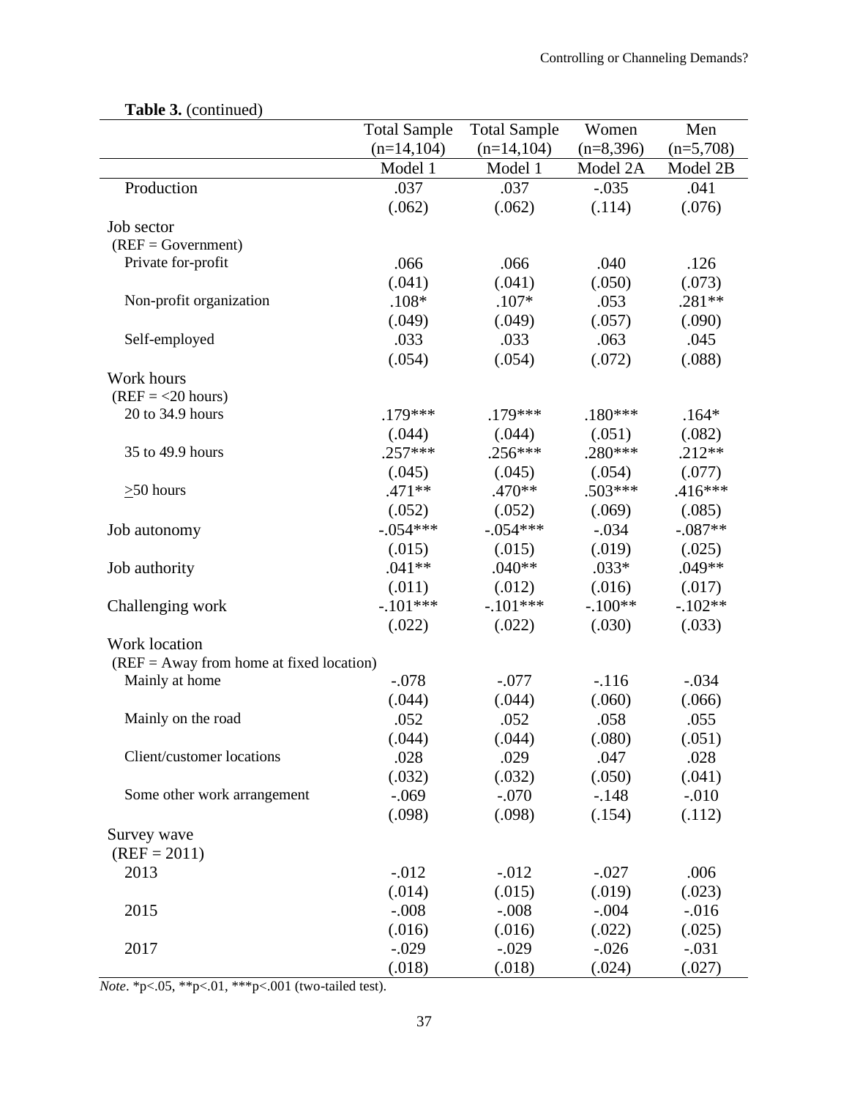| $\blacksquare$ which is a continuou        | <b>Total Sample</b> | <b>Total Sample</b> | Women       | Men         |
|--------------------------------------------|---------------------|---------------------|-------------|-------------|
|                                            | $(n=14,104)$        | $(n=14,104)$        | $(n=8,396)$ | $(n=5,708)$ |
|                                            | Model 1             | Model 1             | Model 2A    | Model 2B    |
| Production                                 | .037                | .037                | $-.035$     | .041        |
|                                            | (.062)              | (.062)              | (.114)      | (.076)      |
| Job sector                                 |                     |                     |             |             |
| $(REF = Government)$                       |                     |                     |             |             |
| Private for-profit                         | .066                | .066                | .040        | .126        |
|                                            | (.041)              | (.041)              | (.050)      | (.073)      |
| Non-profit organization                    | $.108*$             | $.107*$             | .053        | $.281**$    |
|                                            | (.049)              | (.049)              | (.057)      | (.090)      |
| Self-employed                              | .033                | .033                | .063        | .045        |
|                                            | (.054)              | (.054)              | (.072)      | (.088)      |
| Work hours                                 |                     |                     |             |             |
| $(REF = <20 hours)$                        |                     |                     |             |             |
| 20 to 34.9 hours                           | $.179***$           | .179***             | $.180***$   | $.164*$     |
|                                            | (.044)              | (.044)              | (.051)      | (.082)      |
| 35 to 49.9 hours                           | $.257***$           | $.256***$           | $.280***$   | $.212**$    |
|                                            | (.045)              | (.045)              | (.054)      | (.077)      |
| $\geq 50$ hours                            | $.471**$            | $.470**$            | $.503***$   | $.416***$   |
|                                            | (.052)              | (.052)              | (.069)      | (.085)      |
| Job autonomy                               | $-.054***$          | $-.054***$          | $-.034$     | $-.087**$   |
|                                            | (.015)              | (.015)              | (.019)      | (.025)      |
| Job authority                              | $.041**$            | $.040**$            | $.033*$     | $.049**$    |
|                                            | (.011)              | (.012)              | (.016)      | (.017)      |
| Challenging work                           | $-.101***$          | $-.101***$          | $-.100**$   | $-.102**$   |
|                                            | (.022)              | (.022)              | (.030)      | (.033)      |
| Work location                              |                     |                     |             |             |
| $(REF = Away from home at fixed location)$ |                     |                     |             |             |
| Mainly at home                             | $-.078$             | $-.077$             | $-116$      | $-.034$     |
|                                            | (.044)              | (.044)              | (.060)      | (.066)      |
| Mainly on the road                         | .052                | .052                | .058        | .055        |
|                                            | (.044)              | (.044)              | (.080)      | (.051)      |
| Client/customer locations                  | .028                | .029                | .047        | .028        |
|                                            | (.032)              | (.032)              | (.050)      | (.041)      |
| Some other work arrangement                | $-.069$             | $-.070$             | $-.148$     | $-.010$     |
|                                            | (.098)              | (.098)              | (.154)      | (.112)      |
| Survey wave                                |                     |                     |             |             |
| $(REF = 2011)$                             |                     |                     |             |             |
| 2013                                       | $-0.012$            | $-0.012$            | $-.027$     | .006        |
|                                            | (.014)              | (.015)              | (.019)      | (.023)      |
| 2015                                       | $-.008$             | $-.008$             | $-.004$     | $-0.016$    |
|                                            | (.016)              | (.016)              | (.022)      | (.025)      |
| 2017                                       | $-.029$             | $-.029$             | $-.026$     | $-.031$     |
|                                            | (.018)              | (.018)              | (.024)      | (.027)      |

## **Table 3.** (continued)

*Note*. \*p<.05, \*\*p<.01, \*\*\*p<.001 (two-tailed test).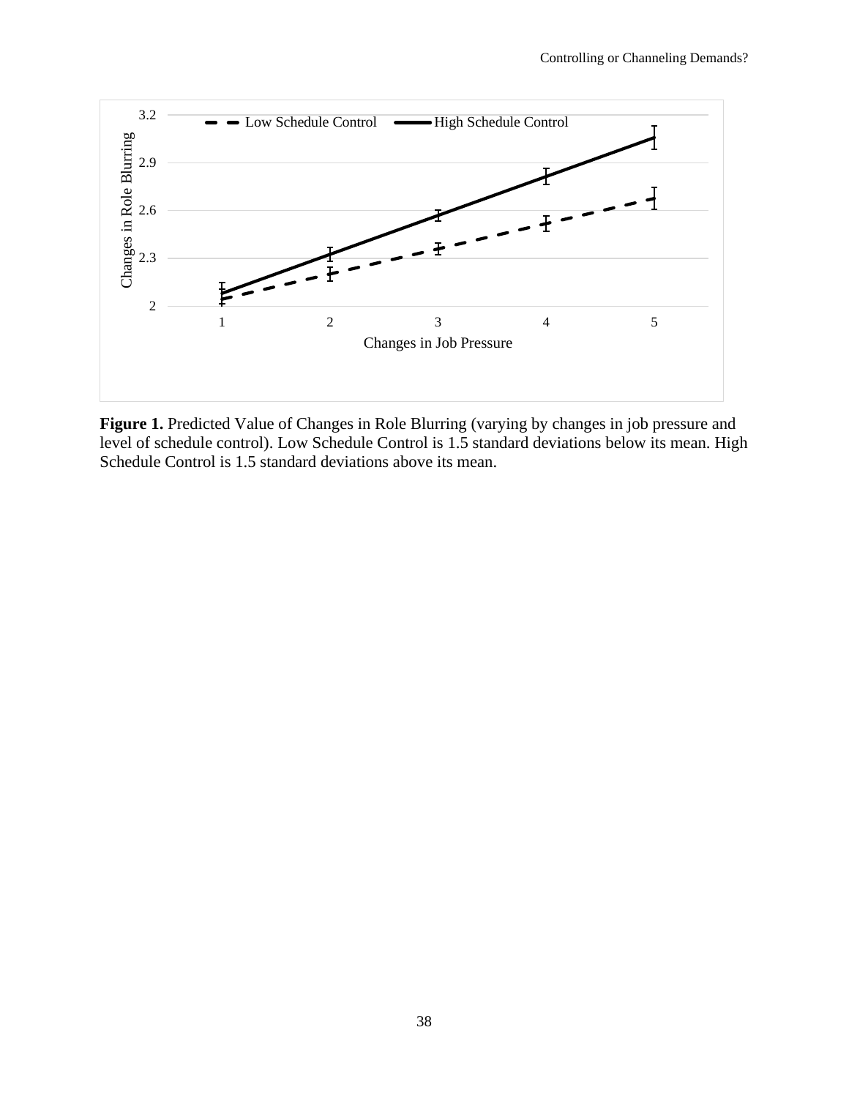

**Figure 1.** Predicted Value of Changes in Role Blurring (varying by changes in job pressure and level of schedule control). Low Schedule Control is 1.5 standard deviations below its mean. High Schedule Control is 1.5 standard deviations above its mean.